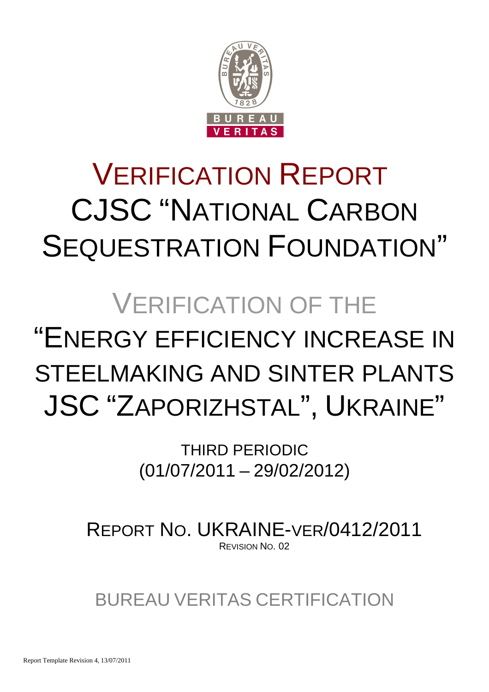

# VERIFICATION REPORT CJSC "NATIONAL CARBON SEQUESTRATION FOUNDATION"

## VERIFICATION OF THE

## "ENERGY EFFICIENCY INCREASE IN STEELMAKING AND SINTER PLANTS JSC "ZAPORIZHSTAL", UKRAINE"

THIRD PERIODIC (01/07/2011 – 29/02/2012)

REPORT NO. UKRAINE-VER/0412/2011 REVISION NO. 02

BUREAU VERITAS CERTIFICATION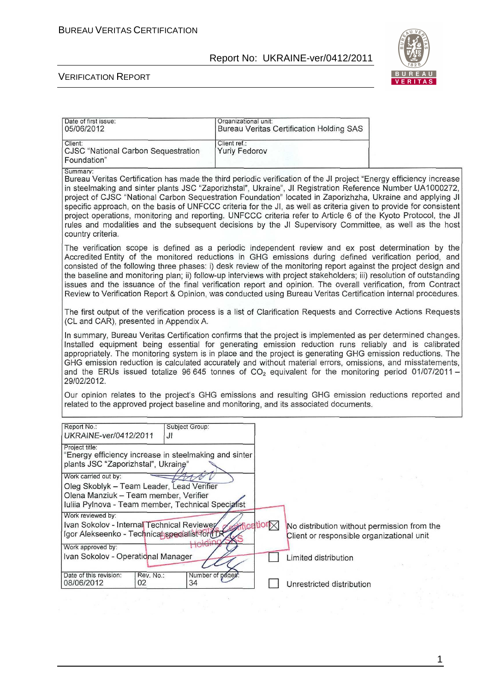

 $\overline{\phantom{0}}$ 

#### VERIFICATION REPORT

| Date of first issue.<br>05/06/2012                                                                                                                                                                                                                                                                                                                                                                                                                                                                                                                                                                                                                                                          | Organizational unit:<br><b>Bureau Veritas Certification Holding SAS</b> |                                                                                                                     |
|---------------------------------------------------------------------------------------------------------------------------------------------------------------------------------------------------------------------------------------------------------------------------------------------------------------------------------------------------------------------------------------------------------------------------------------------------------------------------------------------------------------------------------------------------------------------------------------------------------------------------------------------------------------------------------------------|-------------------------------------------------------------------------|---------------------------------------------------------------------------------------------------------------------|
| Client:<br>CJSC "National Carbon Sequestration<br>Foundation"                                                                                                                                                                                                                                                                                                                                                                                                                                                                                                                                                                                                                               | Client ref.:<br><b>Yuriy Fedorov</b>                                    |                                                                                                                     |
| Summary:<br>in steelmaking and sinter plants JSC "Zaporizhstal", Ukraine", JI Registration Reference Number UA1000272,<br>project of CJSC "National Carbon Sequestration Foundation" located in Zaporizhzha, Ukraine and applying JI<br>specific approach, on the basis of UNFCCC criteria for the JI, as well as criteria given to provide for consistent<br>project operations, monitoring and reporting. UNFCCC criteria refer to Article 6 of the Kyoto Protocol, the JI<br>rules and modalities and the subsequent decisions by the JI Supervisory Committee, as well as the host<br>country criteria.                                                                                 |                                                                         | Bureau Veritas Certification has made the third periodic verification of the JI project "Energy efficiency increase |
| The verification scope is defined as a periodic independent review and ex post determination by the<br>Accredited Entity of the monitored reductions in GHG emissions during defined verification period, and<br>consisted of the following three phases: i) desk review of the monitoring report against the project design and<br>the baseline and monitoring plan; ii) follow-up interviews with project stakeholders; iii) resolution of outstanding<br>issues and the issuance of the final verification report and opinion. The overall verification, from Contract<br>Review to Verification Report & Opinion, was conducted using Bureau Veritas Certification internal procedures. |                                                                         |                                                                                                                     |
| The first output of the verification process is a list of Clarification Requests and Corrective Actions Requests<br>(CL and CAR), presented in Appendix A.                                                                                                                                                                                                                                                                                                                                                                                                                                                                                                                                  |                                                                         |                                                                                                                     |
| In summary, Bureau Veritas Certification confirms that the project is implemented as per determined changes.<br>Installed equipment being essential for generating emission reduction runs reliably and is calibrated<br>appropriately. The monitoring system is in place and the project is generating GHG emission reductions. The<br>GHG emission reduction is calculated accurately and without material errors, omissions, and misstatements,<br>and the ERUs issued totalize 96 645 tonnes of $CO2$ equivalent for the monitoring period 01/07/2011 -<br>29/02/2012.                                                                                                                  |                                                                         |                                                                                                                     |
| Our opinion relates to the project's GHG emissions and resulting GHG emission reductions reported and<br>related to the approved project baseline and monitoring, and its associated documents.                                                                                                                                                                                                                                                                                                                                                                                                                                                                                             |                                                                         |                                                                                                                     |
| Report No.:<br>Subject Group:<br>UKRAINE-ver/0412/2011<br>JI                                                                                                                                                                                                                                                                                                                                                                                                                                                                                                                                                                                                                                |                                                                         |                                                                                                                     |
| Project title:<br>"Energy efficiency increase in steelmaking and sinter<br>plants JSC "Zaporizhstal", Ukraine"                                                                                                                                                                                                                                                                                                                                                                                                                                                                                                                                                                              |                                                                         |                                                                                                                     |
| Work carried out by:<br>Oleg Skoblyk - Team Leader, Lead Verifier<br>Olena Manziuk - Team member, Verifier<br>Iuliia Pylnova - Team member, Technical Specialist                                                                                                                                                                                                                                                                                                                                                                                                                                                                                                                            |                                                                         |                                                                                                                     |
| Work reviewed by:<br>Ivan Sokolov - Internal Technical Reviewer<br>Igor Alekseenko - Technicat specialist for fTR<br>Holding<br>Work approved by:                                                                                                                                                                                                                                                                                                                                                                                                                                                                                                                                           | $i$ cation $\nabla$                                                     | No distribution without permission from the<br>Client or responsible organizational unit                            |
| Ivan Sokolov - Operational Manager                                                                                                                                                                                                                                                                                                                                                                                                                                                                                                                                                                                                                                                          |                                                                         | Limited distribution                                                                                                |
| Date of this revision:<br>Rev. No.:<br>02<br>08/06/2012<br>34                                                                                                                                                                                                                                                                                                                                                                                                                                                                                                                                                                                                                               | Number of pages:                                                        | Unrestricted distribution                                                                                           |
|                                                                                                                                                                                                                                                                                                                                                                                                                                                                                                                                                                                                                                                                                             |                                                                         |                                                                                                                     |

1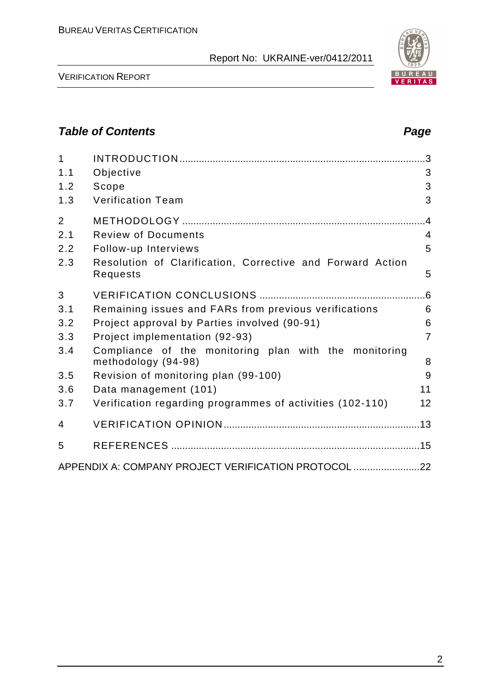

VERIFICATION REPORT

## **Table of Contents Page 2018**

| $\mathbf{1}$   |                                                                              |                |
|----------------|------------------------------------------------------------------------------|----------------|
| 1.1            | Objective                                                                    | 3              |
| 1.2            | Scope                                                                        | 3              |
| 1.3            | <b>Verification Team</b>                                                     | 3              |
| $\overline{2}$ |                                                                              | .4             |
| 2.1            | <b>Review of Documents</b>                                                   | $\overline{4}$ |
| 2.2            | Follow-up Interviews                                                         | 5              |
| 2.3            | Resolution of Clarification, Corrective and Forward Action<br>Requests       | 5              |
| 3              |                                                                              |                |
| 3.1            | Remaining issues and FARs from previous verifications                        | 6              |
| 3.2            | Project approval by Parties involved (90-91)                                 | 6              |
| 3.3            | Project implementation (92-93)                                               | $\overline{7}$ |
| 3.4            | Compliance of the monitoring plan with the monitoring<br>methodology (94-98) | 8              |
| 3.5            | Revision of monitoring plan (99-100)                                         | 9              |
| 3.6            | Data management (101)                                                        | 11             |
| 3.7            | Verification regarding programmes of activities (102-110)                    | 12             |
| 4              |                                                                              |                |
| 5              |                                                                              |                |
|                | APPENDIX A: COMPANY PROJECT VERIFICATION PROTOCOL 22                         |                |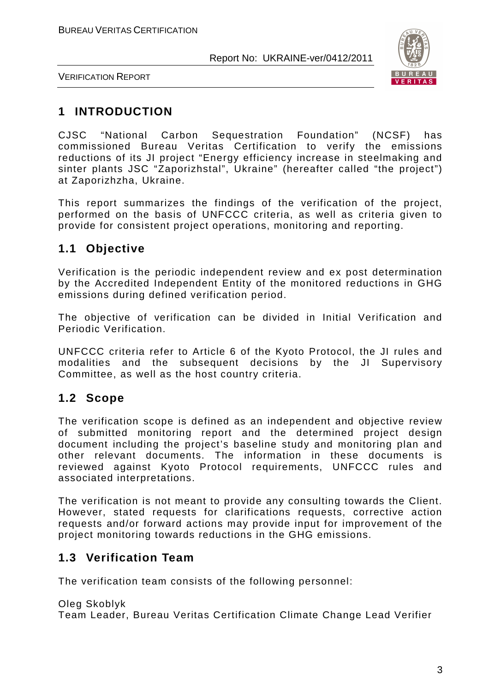

VERIFICATION REPORT

## **1 INTRODUCTION**

CJSC "National Carbon Sequestration Foundation" (NCSF) has commissioned Bureau Veritas Certification to verify the emissions reductions of its JI project "Energy efficiency increase in steelmaking and sinter plants JSC "Zaporizhstal", Ukraine" (hereafter called "the project") at Zaporizhzha, Ukraine.

This report summarizes the findings of the verification of the project, performed on the basis of UNFCCC criteria, as well as criteria given to provide for consistent project operations, monitoring and reporting.

## **1.1 Objective**

Verification is the periodic independent review and ex post determination by the Accredited Independent Entity of the monitored reductions in GHG emissions during defined verification period.

The objective of verification can be divided in Initial Verification and Periodic Verification.

UNFCCC criteria refer to Article 6 of the Kyoto Protocol, the JI rules and modalities and the subsequent decisions by the JI Supervisory Committee, as well as the host country criteria.

## **1.2 Scope**

The verification scope is defined as an independent and objective review of submitted monitoring report and the determined project design document including the project's baseline study and monitoring plan and other relevant documents. The information in these documents is reviewed against Kyoto Protocol requirements, UNFCCC rules and associated interpretations.

The verification is not meant to provide any consulting towards the Client. However, stated requests for clarifications requests, corrective action requests and/or forward actions may provide input for improvement of the project monitoring towards reductions in the GHG emissions.

## **1.3 Verification Team**

The verification team consists of the following personnel:

Oleg Skoblyk Team Leader, Bureau Veritas Certification Climate Change Lead Verifier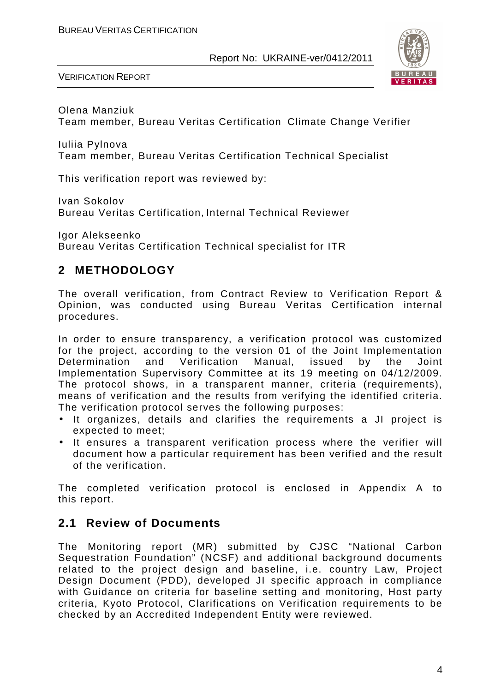

VERIFICATION REPORT

Olena Manziuk Team member, Bureau Veritas Certification Climate Change Verifier

Iuliia Pylnova Team member, Bureau Veritas Certification Technical Specialist

This verification report was reviewed by:

Ivan Sokolov Bureau Veritas Certification, Internal Technical Reviewer

Igor Alekseenko Bureau Veritas Certification Technical specialist for ITR

## **2 METHODOLOGY**

The overall verification, from Contract Review to Verification Report & Opinion, was conducted using Bureau Veritas Certification internal procedures.

In order to ensure transparency, a verification protocol was customized for the project, according to the version 01 of the Joint Implementation Determination and Verification Manual, issued by the Joint Implementation Supervisory Committee at its 19 meeting on 04/12/2009. The protocol shows, in a transparent manner, criteria (requirements), means of verification and the results from verifying the identified criteria. The verification protocol serves the following purposes:

- It organizes, details and clarifies the requirements a JI project is expected to meet;
- It ensures a transparent verification process where the verifier will document how a particular requirement has been verified and the result of the verification.

The completed verification protocol is enclosed in Appendix A to this report.

## **2.1 Review of Documents**

The Monitoring report (MR) submitted by CJSC "National Carbon Sequestration Foundation" (NCSF) and additional background documents related to the project design and baseline, i.e. country Law, Project Design Document (PDD), developed JI specific approach in compliance with Guidance on criteria for baseline setting and monitoring, Host party criteria, Kyoto Protocol, Clarifications on Verification requirements to be checked by an Accredited Independent Entity were reviewed.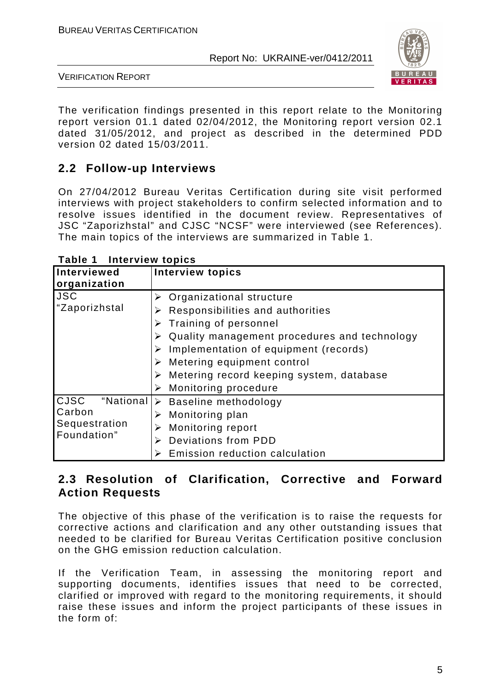

VERIFICATION REPORT

The verification findings presented in this report relate to the Monitoring report version 01.1 dated 02/04/2012, the Monitoring report version 02.1 dated 31/05/2012, and project as described in the determined PDD version 02 dated 15/03/2011.

## **2.2 Follow-up Interviews**

On 27/04/2012 Bureau Veritas Certification during site visit performed interviews with project stakeholders to confirm selected information and to resolve issues identified in the document review. Representatives of JSC "Zaporizhstal" and CJSC "NCSF" were interviewed (see References). The main topics of the interviews are summarized in Table 1.

| $\frac{1}{2}$            |                                                           |
|--------------------------|-----------------------------------------------------------|
| <b>Interviewed</b>       | <b>Interview topics</b>                                   |
| organization             |                                                           |
| <b>JSC</b>               | $\triangleright$ Organizational structure                 |
| "Zaporizhstal            | Responsibilities and authorities<br>➤                     |
|                          | Training of personnel                                     |
|                          | Quality management procedures and technology              |
|                          | Implementation of equipment (records)<br>➤                |
|                          | $\triangleright$ Metering equipment control               |
|                          | $\triangleright$ Metering record keeping system, database |
|                          | $\triangleright$ Monitoring procedure                     |
| <b>CJSC</b><br>"National | $\triangleright$ Baseline methodology                     |
| Carbon                   | $\triangleright$ Monitoring plan                          |
| Sequestration            | <b>Monitoring report</b><br>➤                             |
| Foundation"              | Deviations from PDD<br>➤                                  |
|                          | Emission reduction calculation                            |

**Table 1 Interview topics** 

## **2.3 Resolution of Clarification, Corrective and Forward Action Requests**

The objective of this phase of the verification is to raise the requests for corrective actions and clarification and any other outstanding issues that needed to be clarified for Bureau Veritas Certification positive conclusion on the GHG emission reduction calculation.

If the Verification Team, in assessing the monitoring report and supporting documents, identifies issues that need to be corrected, clarified or improved with regard to the monitoring requirements, it should raise these issues and inform the project participants of these issues in the form of: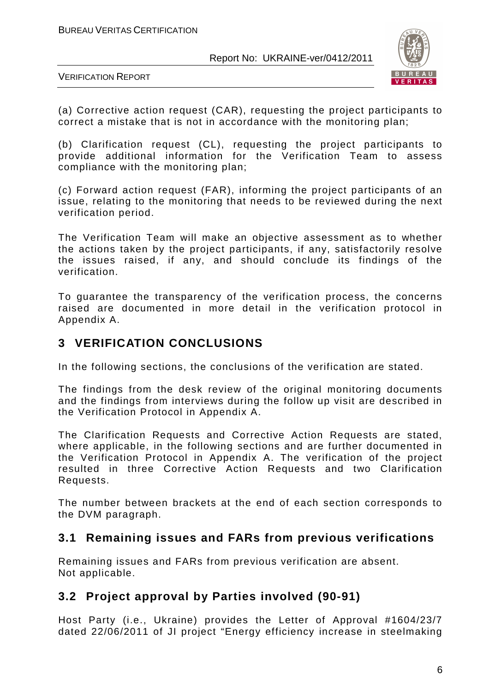

VERIFICATION REPORT

(a) Corrective action request (CAR), requesting the project participants to correct a mistake that is not in accordance with the monitoring plan;

(b) Clarification request (CL), requesting the project participants to provide additional information for the Verification Team to assess compliance with the monitoring plan;

(c) Forward action request (FAR), informing the project participants of an issue, relating to the monitoring that needs to be reviewed during the next verification period.

The Verification Team will make an objective assessment as to whether the actions taken by the project participants, if any, satisfactorily resolve the issues raised, if any, and should conclude its findings of the verification.

To guarantee the transparency of the verification process, the concerns raised are documented in more detail in the verification protocol in Appendix A.

## **3 VERIFICATION CONCLUSIONS**

In the following sections, the conclusions of the verification are stated.

The findings from the desk review of the original monitoring documents and the findings from interviews during the follow up visit are described in the Verification Protocol in Appendix A.

The Clarification Requests and Corrective Action Requests are stated, where applicable, in the following sections and are further documented in the Verification Protocol in Appendix A. The verification of the project resulted in three Corrective Action Requests and two Clarification Requests.

The number between brackets at the end of each section corresponds to the DVM paragraph.

## **3.1 Remaining issues and FARs from previous verifications**

Remaining issues and FARs from previous verification are absent. Not applicable.

## **3.2 Project approval by Parties involved (90-91)**

Host Party (i.e., Ukraine) provides the Letter of Approval #1604/23/7 dated 22/06/2011 of JI project "Energy efficiency increase in steelmaking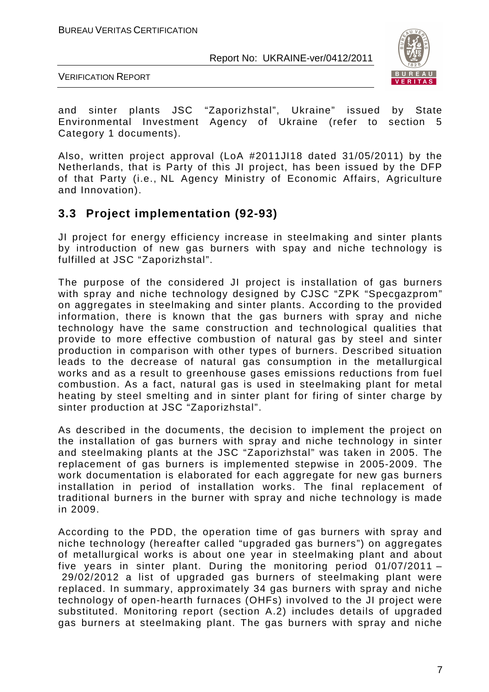

VERIFICATION REPORT

and sinter plants JSC "Zaporizhstal", Ukraine" issued by State Environmental Investment Agency of Ukraine (refer to section 5 Category 1 documents).

Also, written project approval (LoA #2011JI18 dated 31/05/2011) by the Netherlands, that is Party of this JI project, has been issued by the DFP of that Party (i.e., NL Agency Ministry of Economic Affairs, Agriculture and Innovation).

## **3.3 Project implementation (92-93)**

JI project for energy efficiency increase in steelmaking and sinter plants by introduction of new gas burners with spay and niche technology is fulfilled at JSC "Zaporizhstal".

The purpose of the considered JI project is installation of gas burners with spray and niche technology designed by CJSC "ZPK "Specgazprom" on aggregates in steelmaking and sinter plants. According to the provided information, there is known that the gas burners with spray and niche technology have the same construction and technological qualities that provide to more effective combustion of natural gas by steel and sinter production in comparison with other types of burners. Described situation leads to the decrease of natural gas consumption in the metallurgical works and as a result to greenhouse gases emissions reductions from fuel combustion. As a fact, natural gas is used in steelmaking plant for metal heating by steel smelting and in sinter plant for firing of sinter charge by sinter production at JSC "Zaporizhstal".

As described in the documents, the decision to implement the project on the installation of gas burners with spray and niche technology in sinter and steelmaking plants at the JSC "Zaporizhstal" was taken in 2005. The replacement of gas burners is implemented stepwise in 2005-2009. The work documentation is elaborated for each aggregate for new gas burners installation in period of installation works. The final replacement of traditional burners in the burner with spray and niche technology is made in 2009.

According to the PDD, the operation time of gas burners with spray and niche technology (hereafter called "upgraded gas burners") on aggregates of metallurgical works is about one year in steelmaking plant and about five years in sinter plant. During the monitoring period 01/07/2011 – 29/02/2012 a list of upgraded gas burners of steelmaking plant were replaced. In summary, approximately 34 gas burners with spray and niche technology of open-hearth furnaces (OHFs) involved to the JI project were substituted. Monitoring report (section A.2) includes details of upgraded gas burners at steelmaking plant. The gas burners with spray and niche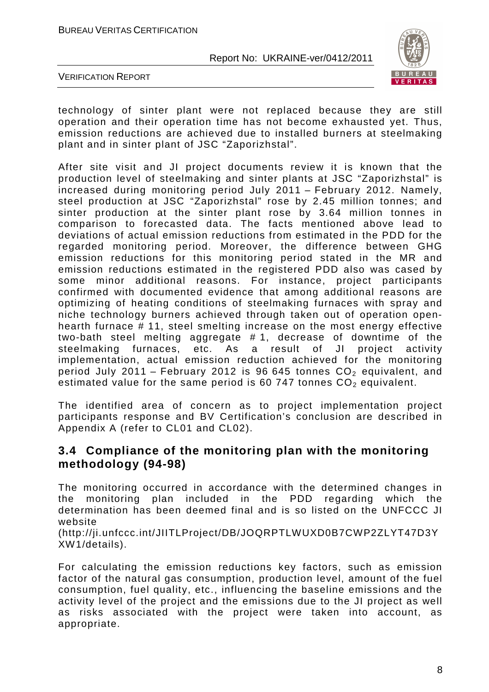

VERIFICATION REPORT

XW1/details).

technology of sinter plant were not replaced because they are still operation and their operation time has not become exhausted yet. Thus, emission reductions are achieved due to installed burners at steelmaking plant and in sinter plant of JSC "Zaporizhstal".

After site visit and JI project documents review it is known that the production level of steelmaking and sinter plants at JSC "Zaporizhstal" is increased during monitoring period July 2011 – February 2012. Namely, steel production at JSC "Zaporizhstal" rose by 2.45 million tonnes; and sinter production at the sinter plant rose by 3.64 million tonnes in comparison to forecasted data. The facts mentioned above lead to deviations of actual emission reductions from estimated in the PDD for the regarded monitoring period. Moreover, the difference between GHG emission reductions for this monitoring period stated in the MR and emission reductions estimated in the registered PDD also was cased by some minor additional reasons. For instance, project participants confirmed with documented evidence that among additional reasons are optimizing of heating conditions of steelmaking furnaces with spray and niche technology burners achieved through taken out of operation openhearth furnace # 11, steel smelting increase on the most energy effective two-bath steel melting aggregate # 1, decrease of downtime of the steelmaking furnaces, etc. As a result of JI project activity implementation, actual emission reduction achieved for the monitoring period July 2011 – February 2012 is 96 645 tonnes  $CO<sub>2</sub>$  equivalent, and estimated value for the same period is 60 747 tonnes  $CO<sub>2</sub>$  equivalent.

The identified area of concern as to project implementation project participants response and BV Certification's conclusion are described in Appendix A (refer to CL01 and CL02).

## **3.4 Compliance of the monitoring plan with the monitoring methodology (94-98)**

The monitoring occurred in accordance with the determined changes in the monitoring plan included in the PDD regarding which the determination has been deemed final and is so listed on the UNFCCC JI website (http://ji.unfccc.int/JIITLProject/DB/JOQRPTLWUXD0B7CWP2ZLYT47D3Y

For calculating the emission reductions key factors, such as emission factor of the natural gas consumption, production level, amount of the fuel consumption, fuel quality, etc., influencing the baseline emissions and the activity level of the project and the emissions due to the JI project as well as risks associated with the project were taken into account, as appropriate.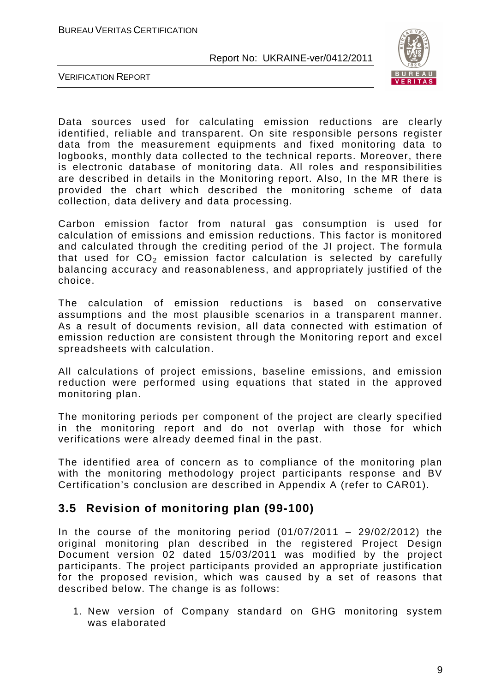

VERIFICATION REPORT

Data sources used for calculating emission reductions are clearly identified, reliable and transparent. On site responsible persons register data from the measurement equipments and fixed monitoring data to logbooks, monthly data collected to the technical reports. Moreover, there is electronic database of monitoring data. All roles and responsibilities are described in details in the Monitoring report. Also, In the MR there is provided the chart which described the monitoring scheme of data collection, data delivery and data processing.

Carbon emission factor from natural gas consumption is used for calculation of emissions and emission reductions. This factor is monitored and calculated through the crediting period of the JI project. The formula that used for  $CO<sub>2</sub>$  emission factor calculation is selected by carefully balancing accuracy and reasonableness, and appropriately justified of the choice.

The calculation of emission reductions is based on conservative assumptions and the most plausible scenarios in a transparent manner. As a result of documents revision, all data connected with estimation of emission reduction are consistent through the Monitoring report and excel spreadsheets with calculation.

All calculations of project emissions, baseline emissions, and emission reduction were performed using equations that stated in the approved monitoring plan.

The monitoring periods per component of the project are clearly specified in the monitoring report and do not overlap with those for which verifications were already deemed final in the past.

The identified area of concern as to compliance of the monitoring plan with the monitoring methodology project participants response and BV Certification's conclusion are described in Appendix A (refer to CAR01).

## **3.5 Revision of monitoring plan (99-100)**

In the course of the monitoring period  $(01/07/2011 - 29/02/2012)$  the original monitoring plan described in the registered Project Design Document version 02 dated 15/03/2011 was modified by the project participants. The project participants provided an appropriate justification for the proposed revision, which was caused by a set of reasons that described below. The change is as follows:

1. New version of Company standard on GHG monitoring system was elaborated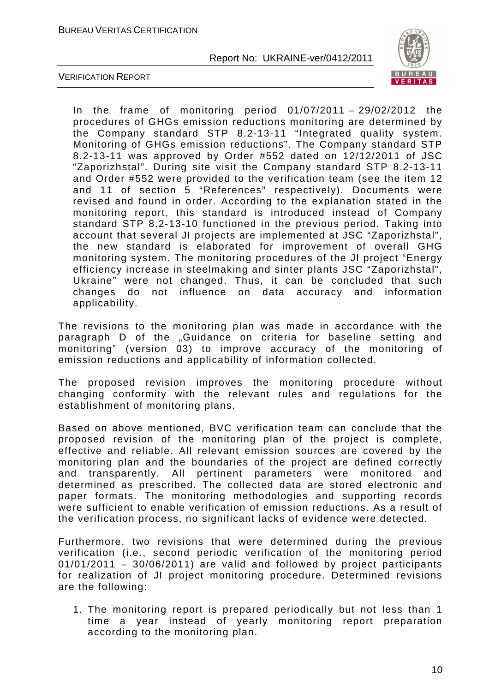

VERIFICATION REPORT

In the frame of monitoring period  $01/07/2011 - 29/02/2012$  the procedures of GHGs emission reductions monitoring are determined by the Company standard STP 8.2-13-11 "Integrated quality system. Monitoring of GHGs emission reductions". The Company standard STP 8.2-13-11 was approved by Order #552 dated on 12/12/2011 of JSC "Zaporizhstal". During site visit the Company standard STP 8.2-13-11 and Order #552 were provided to the verification team (see the item 12 and 11 of section 5 "References" respectively). Documents were revised and found in order. According to the explanation stated in the monitoring report, this standard is introduced instead of Company standard STP 8.2-13-10 functioned in the previous period. Taking into account that several JI projects are implemented at JSC "Zaporizhstal", the new standard is elaborated for improvement of overall GHG monitoring system. The monitoring procedures of the JI project "Energy efficiency increase in steelmaking and sinter plants JSC "Zaporizhstal", Ukraine" were not changed. Thus, it can be concluded that such changes do not influence on data accuracy and information applicability.

The revisions to the monitoring plan was made in accordance with the paragraph D of the "Guidance on criteria for baseline setting and monitoring" (version 03) to improve accuracy of the monitoring of emission reductions and applicability of information collected.

The proposed revision improves the monitoring procedure without changing conformity with the relevant rules and regulations for the establishment of monitoring plans.

Based on above mentioned, BVC verification team can conclude that the proposed revision of the monitoring plan of the project is complete, effective and reliable. All relevant emission sources are covered by the monitoring plan and the boundaries of the project are defined correctly and transparently. All pertinent parameters were monitored and determined as prescribed. The collected data are stored electronic and paper formats. The monitoring methodologies and supporting records were sufficient to enable verification of emission reductions. As a result of the verification process, no significant lacks of evidence were detected.

Furthermore, two revisions that were determined during the previous verification (i.e., second periodic verification of the monitoring period 01/01/2011 – 30/06/2011) are valid and followed by project participants for realization of JI project monitoring procedure. Determined revisions are the following:

1. The monitoring report is prepared periodically but not less than 1 time a year instead of yearly monitoring report preparation according to the monitoring plan.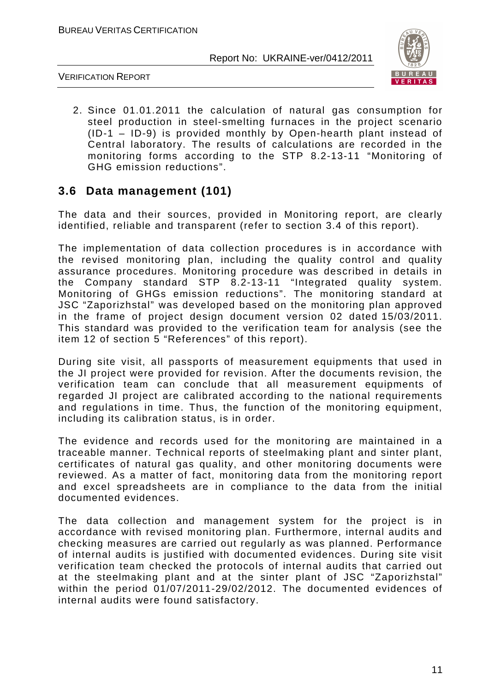

VERIFICATION REPORT

2. Since 01.01.2011 the calculation of natural gas consumption for steel production in steel-smelting furnaces in the project scenario (ID-1 – ID-9) is provided monthly by Open-hearth plant instead of Central laboratory. The results of calculations are recorded in the monitoring forms according to the STP 8.2-13-11 "Monitoring of GHG emission reductions".

## **3.6 Data management (101)**

The data and their sources, provided in Monitoring report, are clearly identified, reliable and transparent (refer to section 3.4 of this report).

The implementation of data collection procedures is in accordance with the revised monitoring plan, including the quality control and quality assurance procedures. Monitoring procedure was described in details in the Company standard STP 8.2-13-11 "Integrated quality system. Monitoring of GHGs emission reductions". The monitoring standard at JSC "Zaporizhstal" was developed based on the monitoring plan approved in the frame of project design document version 02 dated 15/03/2011. This standard was provided to the verification team for analysis (see the item 12 of section 5 "References" of this report).

During site visit, all passports of measurement equipments that used in the JI project were provided for revision. After the documents revision, the verification team can conclude that all measurement equipments of regarded JI project are calibrated according to the national requirements and regulations in time. Thus, the function of the monitoring equipment, including its calibration status, is in order.

The evidence and records used for the monitoring are maintained in a traceable manner. Technical reports of steelmaking plant and sinter plant, certificates of natural gas quality, and other monitoring documents were reviewed. As a matter of fact, monitoring data from the monitoring report and excel spreadsheets are in compliance to the data from the initial documented evidences.

The data collection and management system for the project is in accordance with revised monitoring plan. Furthermore, internal audits and checking measures are carried out regularly as was planned. Performance of internal audits is justified with documented evidences. During site visit verification team checked the protocols of internal audits that carried out at the steelmaking plant and at the sinter plant of JSC "Zaporizhstal" within the period 01/07/2011-29/02/2012. The documented evidences of internal audits were found satisfactory.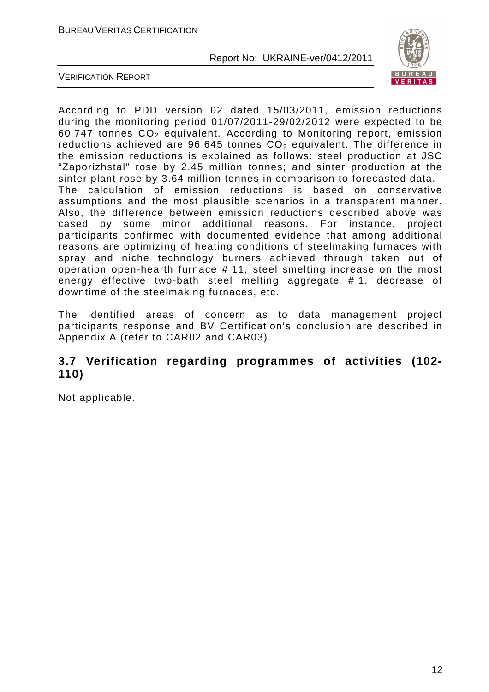

VERIFICATION REPORT

According to PDD version 02 dated 15/03/2011, emission reductions during the monitoring period 01/07/2011-29/02/2012 were expected to be 60 747 tonnes  $CO<sub>2</sub>$  equivalent. According to Monitoring report, emission reductions achieved are 96 645 tonnes  $CO<sub>2</sub>$  equivalent. The difference in the emission reductions is explained as follows: steel production at JSC "Zaporizhstal" rose by 2.45 million tonnes; and sinter production at the sinter plant rose by 3.64 million tonnes in comparison to forecasted data. The calculation of emission reductions is based on conservative assumptions and the most plausible scenarios in a transparent manner. Also, the difference between emission reductions described above was cased by some minor additional reasons. For instance, project participants confirmed with documented evidence that among additional reasons are optimizing of heating conditions of steelmaking furnaces with spray and niche technology burners achieved through taken out of operation open-hearth furnace # 11, steel smelting increase on the most energy effective two-bath steel melting aggregate # 1, decrease of downtime of the steelmaking furnaces, etc.

The identified areas of concern as to data management project participants response and BV Certification's conclusion are described in Appendix A (refer to CAR02 and CAR03).

## **3.7 Verification regarding programmes of activities (102- 110)**

Not applicable.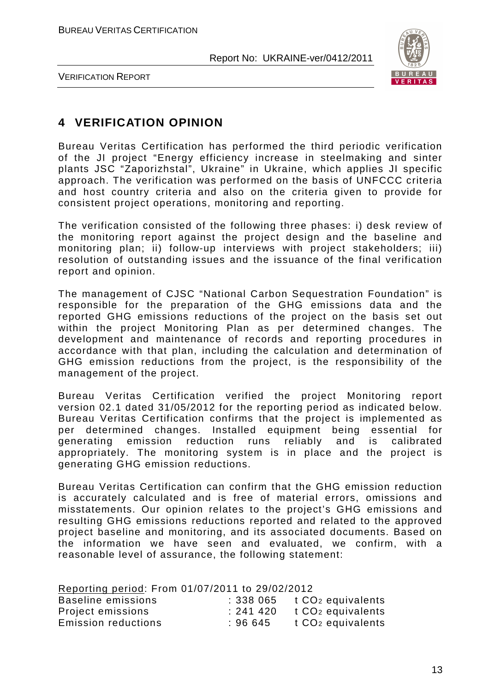

VERIFICATION REPORT

## **4 VERIFICATION OPINION**

Bureau Veritas Certification has performed the third periodic verification of the JI project "Energy efficiency increase in steelmaking and sinter plants JSC "Zaporizhstal", Ukraine" in Ukraine, which applies JI specific approach. The verification was performed on the basis of UNFCCC criteria and host country criteria and also on the criteria given to provide for consistent project operations, monitoring and reporting.

The verification consisted of the following three phases: i) desk review of the monitoring report against the project design and the baseline and monitoring plan; ii) follow-up interviews with project stakeholders; iii) resolution of outstanding issues and the issuance of the final verification report and opinion.

The management of CJSC "National Carbon Sequestration Foundation" is responsible for the preparation of the GHG emissions data and the reported GHG emissions reductions of the project on the basis set out within the project Monitoring Plan as per determined changes. The development and maintenance of records and reporting procedures in accordance with that plan, including the calculation and determination of GHG emission reductions from the project, is the responsibility of the management of the project.

Bureau Veritas Certification verified the project Monitoring report version 02.1 dated 31/05/2012 for the reporting period as indicated below. Bureau Veritas Certification confirms that the project is implemented as per determined changes. Installed equipment being essential for generating emission reduction runs reliably and is calibrated appropriately. The monitoring system is in place and the project is generating GHG emission reductions.

Bureau Veritas Certification can confirm that the GHG emission reduction is accurately calculated and is free of material errors, omissions and misstatements. Our opinion relates to the project's GHG emissions and resulting GHG emissions reductions reported and related to the approved project baseline and monitoring, and its associated documents. Based on the information we have seen and evaluated, we confirm, with a reasonable level of assurance, the following statement:

| Reporting period: From 01/07/2011 to 29/02/2012 |          |                               |
|-------------------------------------------------|----------|-------------------------------|
| Baseline emissions                              | : 338065 | t CO <sub>2</sub> equivalents |
| Project emissions                               | : 241420 | t CO <sub>2</sub> equivalents |
| <b>Emission reductions</b>                      | : 96645  | t CO <sub>2</sub> equivalents |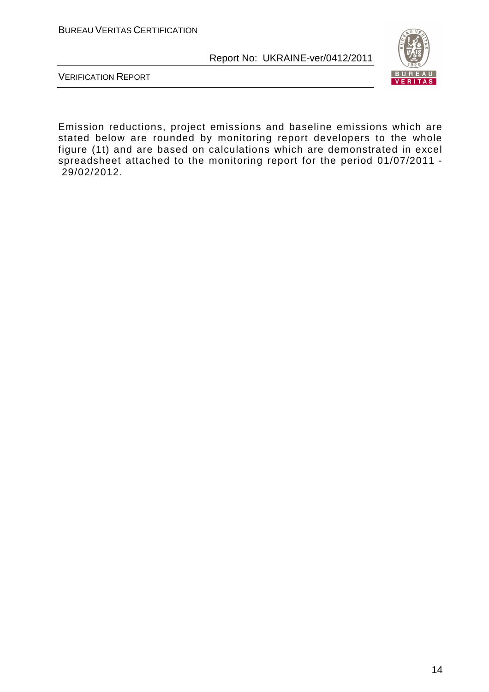

VERIFICATION REPORT

Emission reductions, project emissions and baseline emissions which are stated below are rounded by monitoring report developers to the whole figure (1t) and are based on calculations which are demonstrated in excel spreadsheet attached to the monitoring report for the period 01/07/2011 - 29/02/2012.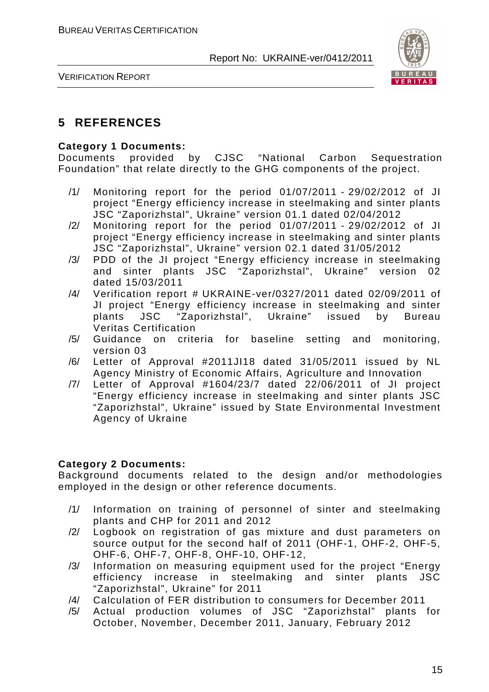

VERIFICATION REPORT

## **5 REFERENCES**

#### **Category 1 Documents:**

Documents provided by CJSC "National Carbon Sequestration Foundation" that relate directly to the GHG components of the project.

- /1/ Monitoring report for the period 01/07/2011 29/02/2012 of JI project "Energy efficiency increase in steelmaking and sinter plants JSC "Zaporizhstal", Ukraine" version 01.1 dated 02/04/2012
- /2/ Monitoring report for the period 01/07/2011 29/02/2012 of JI project "Energy efficiency increase in steelmaking and sinter plants JSC "Zaporizhstal", Ukraine" version 02.1 dated 31/05/2012
- /3/ PDD of the JI project "Energy efficiency increase in steelmaking and sinter plants JSC "Zaporizhstal", Ukraine" version 02 dated 15/03/2011
- /4/ Verification report # UKRAINE-ver/0327/2011 dated 02/09/2011 of JI project "Energy efficiency increase in steelmaking and sinter plants JSC "Zaporizhstal", Ukraine" issued by Bureau Veritas Certification
- /5/ Guidance on criteria for baseline setting and monitoring, version 03
- /6/ Letter of Approval #2011JI18 dated 31/05/2011 issued by NL Agency Ministry of Economic Affairs, Agriculture and Innovation
- /7/ Letter of Approval #1604/23/7 dated 22/06/2011 of JI project "Energy efficiency increase in steelmaking and sinter plants JSC "Zaporizhstal", Ukraine" issued by State Environmental Investment Agency of Ukraine

#### **Category 2 Documents:**

Background documents related to the design and/or methodologies employed in the design or other reference documents.

- /1/ Information on training of personnel of sinter and steelmaking plants and CHP for 2011 and 2012
- /2/ Logbook on registration of gas mixture and dust parameters on source output for the second half of 2011 (OHF-1, OHF-2, OHF-5, OHF-6, OHF-7, OHF-8, OHF-10, OHF-12,
- /3/ Information on measuring equipment used for the project "Energy efficiency increase in steelmaking and sinter plants JSC "Zaporizhstal", Ukraine" for 2011
- /4/ Calculation of FER distribution to consumers for December 2011
- /5/ Actual production volumes of JSC "Zaporizhstal" plants for October, November, December 2011, January, February 2012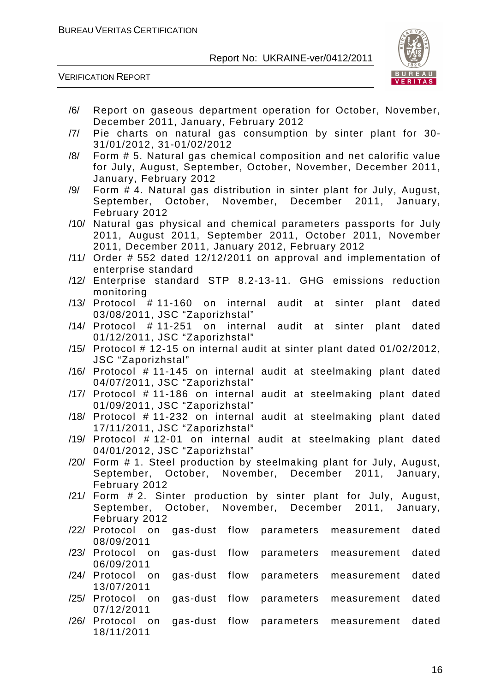/6/ Report on gaseous department operation for October, November,



|      | December 2011, January, February 2012                                                  |
|------|----------------------------------------------------------------------------------------|
| /7/  | Pie charts on natural gas consumption by sinter plant for 30-                          |
|      | 31/01/2012, 31-01/02/2012                                                              |
| /8/  | Form # 5. Natural gas chemical composition and net calorific value                     |
|      | for July, August, September, October, November, December 2011,                         |
|      | January, February 2012                                                                 |
| /9/  | Form # 4. Natural gas distribution in sinter plant for July, August,                   |
|      | September, October, November, December 2011, January,                                  |
|      | February 2012                                                                          |
| /10/ | Natural gas physical and chemical parameters passports for July                        |
|      | 2011, August 2011, September 2011, October 2011, November                              |
|      | 2011, December 2011, January 2012, February 2012                                       |
| /11/ | Order # 552 dated 12/12/2011 on approval and implementation of                         |
|      | enterprise standard                                                                    |
| /12/ | Enterprise standard STP 8.2-13-11. GHG emissions reduction                             |
|      | monitoring                                                                             |
|      | /13/ Protocol #11-160 on internal<br>audit at sinter<br>plant<br>dated                 |
|      | 03/08/2011, JSC "Zaporizhstal"                                                         |
|      | /14/ Protocol # 11-251 on<br>audit at sinter<br>internal<br>plant<br>dated             |
|      | 01/12/2011, JSC "Zaporizhstal"                                                         |
|      | $/15/$ Protocol # 12-15 on internal audit at sinter plant dated $01/02/2012$ ,         |
| /16/ | JSC "Zaporizhstal"<br>Protocol #11-145 on internal audit at steelmaking plant dated    |
|      | 04/07/2011, JSC "Zaporizhstal"                                                         |
|      | /17/ Protocol #11-186 on internal audit at steelmaking plant dated                     |
|      | 01/09/2011, JSC "Zaporizhstal"                                                         |
|      | /18/ Protocol # 11-232 on internal audit at steelmaking plant dated                    |
|      | 17/11/2011, JSC "Zaporizhstal"                                                         |
| /19/ | Protocol #12-01 on internal audit at steelmaking plant dated                           |
|      | 04/01/2012, JSC "Zaporizhstal"                                                         |
|      | /20/ Form # 1. Steel production by steelmaking plant for July, August,                 |
|      | September, October, November, December 2011, January,                                  |
|      | February 2012                                                                          |
|      | /21/ Form # 2. Sinter production by sinter plant for July, August,                     |
|      | September, October, November, December 2011, January,                                  |
|      | February 2012                                                                          |
|      | flow<br>/22/ Protocol on<br>gas-dust<br>parameters<br>dated<br>measurement             |
|      | 08/09/2011                                                                             |
| /23/ | Protocol<br>gas-dust<br>flow<br>dated<br>on<br>parameters<br>measurement               |
|      | 06/09/2011                                                                             |
|      | /24/ Protocol<br>gas-dust<br>flow<br>dated<br>on<br>parameters<br>measurement          |
|      | 13/07/2011                                                                             |
| /25/ | Protocol<br>gas-dust<br>flow<br>dated<br>parameters<br>on<br>measurement<br>07/12/2011 |
|      | /26/ Protocol<br>gas-dust<br>flow<br>dated<br>on<br>parameters<br>measurement          |
|      | 18/11/2011                                                                             |
|      |                                                                                        |
|      |                                                                                        |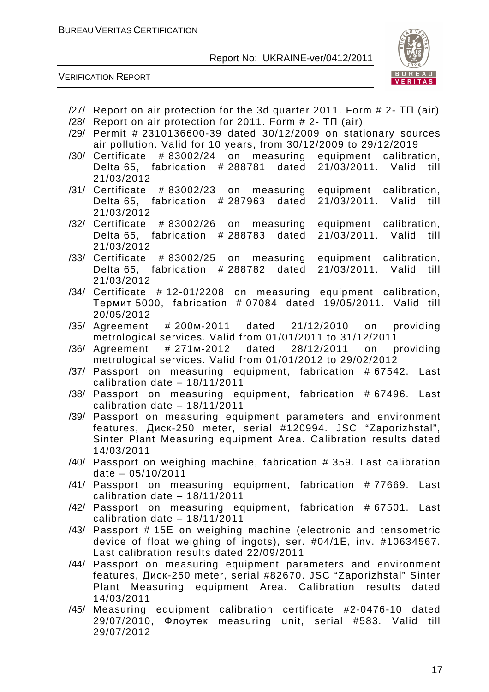

- /27/ Report on air protection for the 3d quarter 2011. Form # 2- ТП (air)
- /28/ Report on air protection for 2011. Form # 2- ТП (air)
- /29/ Permit # 2310136600-39 dated 30/12/2009 on stationary sources air pollution. Valid for 10 years, from 30/12/2009 to 29/12/2019
- /30/ Certificate # 83002/24 on measuring equipment calibration, Delta 65, fabrication # 288781 dated 21/03/2011. Valid till 21/03/2012
- /31/ Certificate # 83002/23 on measuring equipment calibration, Delta 65, fabrication # 287963 dated 21/03/2011. Valid till 21/03/2012
- /32/ Certificate # 83002/26 on measuring equipment calibration, Delta 65, fabrication # 288783 dated 21/03/2011. Valid till 21/03/2012
- /33/ Certificate # 83002/25 on measuring equipment calibration, Delta 65, fabrication # 288782 dated 21/03/2011. Valid till 21/03/2012
- /34/ Certificate # 12-01/2208 on measuring equipment calibration, Термит 5000, fabrication # 07084 dated 19/05/2011. Valid till 20/05/2012
- /35/ Agreement # 200м-2011 dated 21/12/2010 on providing metrological services. Valid from 01/01/2011 to 31/12/2011
- /36/ Agreement # 271м-2012 dated 28/12/2011 on providing metrological services. Valid from 01/01/2012 to 29/02/2012
- /37/ Passport on measuring equipment, fabrication # 67542. Last calibration date – 18/11/2011
- /38/ Passport on measuring equipment, fabrication # 67496. Last calibration date – 18/11/2011
- /39/ Passport on measuring equipment parameters and environment features, Диск-250 meter, serial #120994. JSC "Zaporizhstal", Sinter Plant Measuring equipment Area. Calibration results dated 14/03/2011
- /40/ Passport on weighing machine, fabrication # 359. Last calibration date – 05/10/2011
- /41/ Passport on measuring equipment, fabrication # 77669. Last calibration date – 18/11/2011
- /42/ Passport on measuring equipment, fabrication # 67501. Last calibration date – 18/11/2011
- /43/ Passport # 15Е on weighing machine (electronic and tensometric device of float weighing of ingots), ser. #04/1Е, inv. #10634567. Last calibration results dated 22/09/2011
- /44/ Passport on measuring equipment parameters and environment features, Диск-250 meter, serial #82670. JSC "Zaporizhstal" Sinter Plant Measuring equipment Area. Calibration results dated 14/03/2011
- /45/ Measuring equipment calibration certificate #2-0476-10 dated 29/07/2010, Флоутек measuring unit, serial #583. Valid till 29/07/2012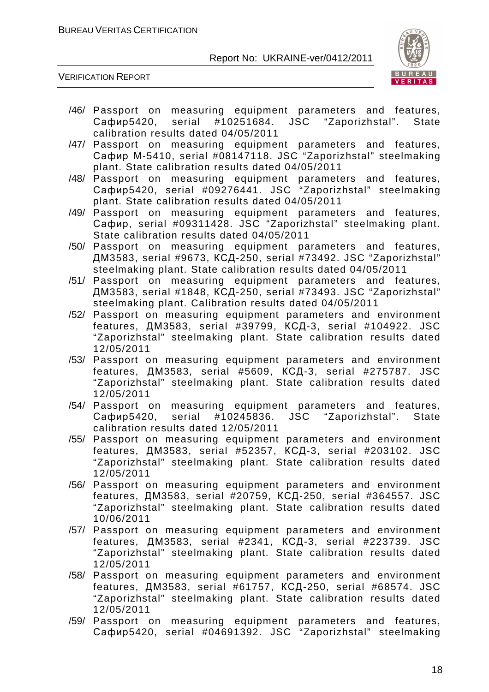

- /46/ Passport on measuring equipment parameters and features, Сафир5420, serial #10251684. JSC "Zaporizhstal". State calibration results dated 04/05/2011
- /47/ Passport on measuring equipment parameters and features, Сафир М-5410, serial #08147118. JSC "Zaporizhstal" steelmaking plant. State calibration results dated 04/05/2011
- /48/ Passport on measuring equipment parameters and features, Сафир5420, serial #09276441. JSC "Zaporizhstal" steelmaking plant. State calibration results dated 04/05/2011
- /49/ Passport on measuring equipment parameters and features, Сафир, serial #09311428. JSC "Zaporizhstal" steelmaking plant. State calibration results dated 04/05/2011
- /50/ Passport on measuring equipment parameters and features, ДМ3583, serial #9673, КСД-250, serial #73492. JSC "Zaporizhstal" steelmaking plant. State calibration results dated 04/05/2011
- /51/ Passport on measuring equipment parameters and features, ДМ3583, serial #1848, КСД-250, serial #73493. JSC "Zaporizhstal" steelmaking plant. Calibration results dated 04/05/2011
- /52/ Passport on measuring equipment parameters and environment features, ДМ3583, serial #39799, КСД-3, serial #104922. JSC "Zaporizhstal" steelmaking plant. State calibration results dated 12/05/2011
- /53/ Passport on measuring equipment parameters and environment features, ДМ3583, serial #5609, КСД-3, serial #275787. JSC "Zaporizhstal" steelmaking plant. State calibration results dated 12/05/2011
- /54/ Passport on measuring equipment parameters and features, Сафир5420, serial #10245836. JSC "Zaporizhstal". State calibration results dated 12/05/2011
- /55/ Passport on measuring equipment parameters and environment features, ДМ3583, serial #52357, КСД-3, serial #203102. JSC "Zaporizhstal" steelmaking plant. State calibration results dated 12/05/2011
- /56/ Passport on measuring equipment parameters and environment features, ДМ3583, serial #20759, КСД-250, serial #364557. JSC "Zaporizhstal" steelmaking plant. State calibration results dated 10/06/2011
- /57/ Passport on measuring equipment parameters and environment features, ДМ3583, serial #2341, КСД-3, serial #223739. JSC "Zaporizhstal" steelmaking plant. State calibration results dated 12/05/2011
- /58/ Passport on measuring equipment parameters and environment features, ДМ3583, serial #61757, КСД-250, serial #68574. JSC "Zaporizhstal" steelmaking plant. State calibration results dated 12/05/2011
- /59/ Passport on measuring equipment parameters and features, Сафир5420, serial #04691392. JSC "Zaporizhstal" steelmaking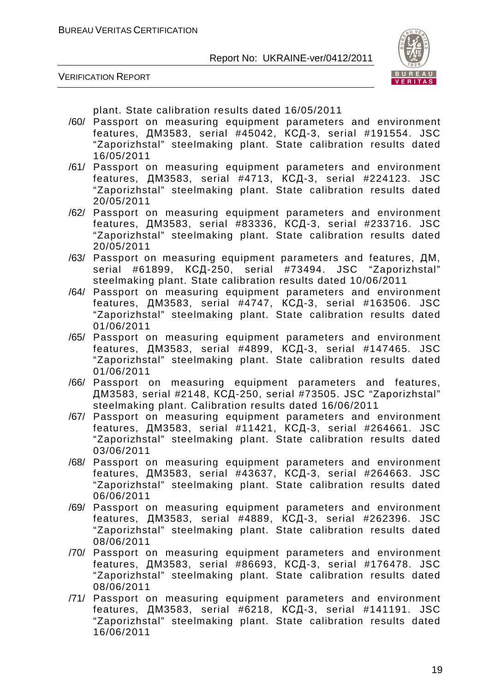



plant. State calibration results dated 16/05/2011

- /60/ Passport on measuring equipment parameters and environment features, ДМ3583, serial #45042, КСД-3, serial #191554. JSC "Zaporizhstal" steelmaking plant. State calibration results dated 16/05/2011
- /61/ Passport on measuring equipment parameters and environment features, ДМ3583, serial #4713, КСД-3, serial #224123. JSC "Zaporizhstal" steelmaking plant. State calibration results dated 20/05/2011
- /62/ Passport on measuring equipment parameters and environment features, ДМ3583, serial #83336, КСД-3, serial #233716. JSC "Zaporizhstal" steelmaking plant. State calibration results dated 20/05/2011
- /63/ Passport on measuring equipment parameters and features, ДМ, serial #61899, КСД-250, serial #73494. JSC "Zaporizhstal" steelmaking plant. State calibration results dated 10/06/2011
- /64/ Passport on measuring equipment parameters and environment features, ДМ3583, serial #4747, КСД-3, serial #163506. JSC "Zaporizhstal" steelmaking plant. State calibration results dated 01/06/2011
- /65/ Passport on measuring equipment parameters and environment features, ДМ3583, serial #4899, КСД-3, serial #147465. JSC "Zaporizhstal" steelmaking plant. State calibration results dated 01/06/2011
- /66/ Passport on measuring equipment parameters and features, ДМ3583, serial #2148, КСД-250, serial #73505. JSC "Zaporizhstal" steelmaking plant. Calibration results dated 16/06/2011
- /67/ Passport on measuring equipment parameters and environment features, ДМ3583, serial #11421, КСД-3, serial #264661. JSC "Zaporizhstal" steelmaking plant. State calibration results dated 03/06/2011
- /68/ Passport on measuring equipment parameters and environment features, ДМ3583, serial #43637, КСД-3, serial #264663. JSC "Zaporizhstal" steelmaking plant. State calibration results dated 06/06/2011
- /69/ Passport on measuring equipment parameters and environment features, ДМ3583, serial #4889, КСД-3, serial #262396. JSC "Zaporizhstal" steelmaking plant. State calibration results dated 08/06/2011
- /70/ Passport on measuring equipment parameters and environment features, ДМ3583, serial #86693, КСД-3, serial #176478. JSC "Zaporizhstal" steelmaking plant. State calibration results dated 08/06/2011
- /71/ Passport on measuring equipment parameters and environment features, ДМ3583, serial #6218, КСД-3, serial #141191. JSC "Zaporizhstal" steelmaking plant. State calibration results dated 16/06/2011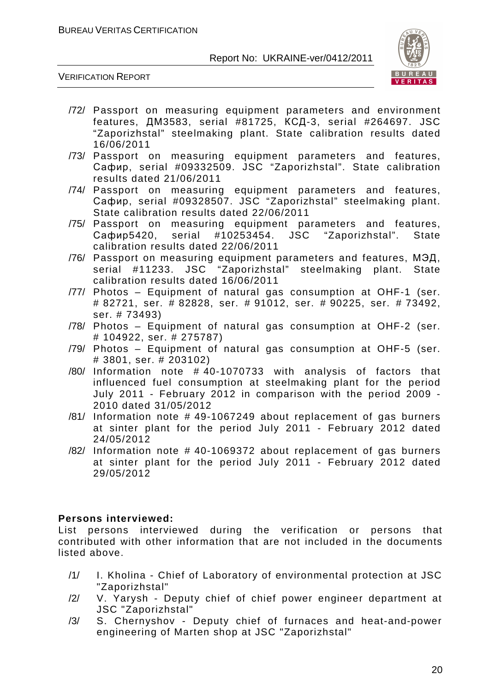

#### VERIFICATION REPORT

- /72/ Passport on measuring equipment parameters and environment features, ДМ3583, serial #81725, КСД-3, serial #264697. JSC "Zaporizhstal" steelmaking plant. State calibration results dated 16/06/2011
- /73/ Passport on measuring equipment parameters and features, Сафир, serial #09332509. JSC "Zaporizhstal". State calibration results dated 21/06/2011
- /74/ Passport on measuring equipment parameters and features, Сафир, serial #09328507. JSC "Zaporizhstal" steelmaking plant. State calibration results dated 22/06/2011
- /75/ Passport on measuring equipment parameters and features, Сафир5420, serial #10253454. JSC "Zaporizhstal". State calibration results dated 22/06/2011
- /76/ Passport on measuring equipment parameters and features, МЭД, serial #11233. JSC "Zaporizhstal" steelmaking plant. State calibration results dated 16/06/2011
- /77/ Photos Equipment of natural gas consumption at OHF-1 (ser. # 82721, ser. # 82828, ser. # 91012, ser. # 90225, ser. # 73492, ser. # 73493)
- /78/ Photos Equipment of natural gas consumption at OHF-2 (ser. # 104922, ser. # 275787)
- /79/ Photos Equipment of natural gas consumption at OHF-5 (ser. # 3801, ser. # 203102)
- /80/ Information note # 40-1070733 with analysis of factors that influenced fuel consumption at steelmaking plant for the period July 2011 - February 2012 in comparison with the period 2009 - 2010 dated 31/05/2012
- /81/ Information note # 49-1067249 about replacement of gas burners at sinter plant for the period July 2011 - February 2012 dated 24/05/2012
- /82/ Information note # 40-1069372 about replacement of gas burners at sinter plant for the period July 2011 - February 2012 dated 29/05/2012

#### **Persons interviewed:**

List persons interviewed during the verification or persons that contributed with other information that are not included in the documents listed above.

- /1/ I. Kholina Chief of Laboratory of environmental protection at JSC "Zaporizhstal"
- /2/ V. Yarysh Deputy chief of chief power engineer department at JSC "Zaporizhstal"
- /3/ S. Chernyshov Deputy chief of furnaces and heat-and-power engineering of Marten shop at JSC "Zaporizhstal"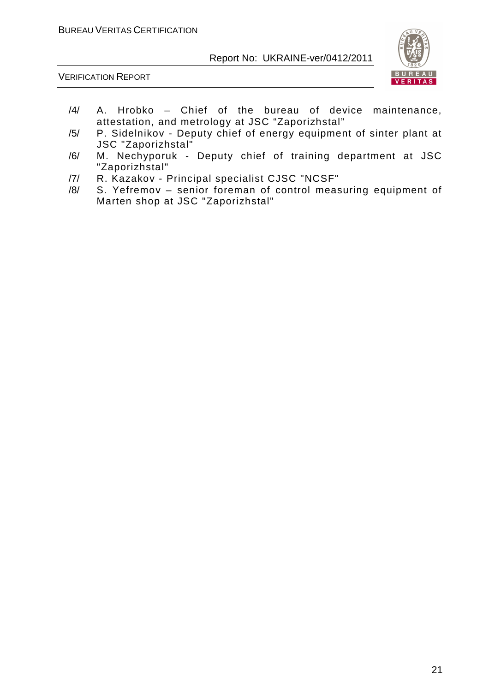

- /4/ A. Hrobko Chief of the bureau of device maintenance, attestation, and metrology at JSC "Zaporizhstal"
- /5/ P. Sidelnikov Deputy chief of energy equipment of sinter plant at JSC "Zaporizhstal"
- /6/ M. Nechyporuk Deputy chief of training department at JSC "Zaporizhstal"
- /7/ R. Kazakov Principal specialist CJSC "NCSF"
- /8/ S. Yefremov senior foreman of control measuring equipment of Marten shop at JSC "Zaporizhstal"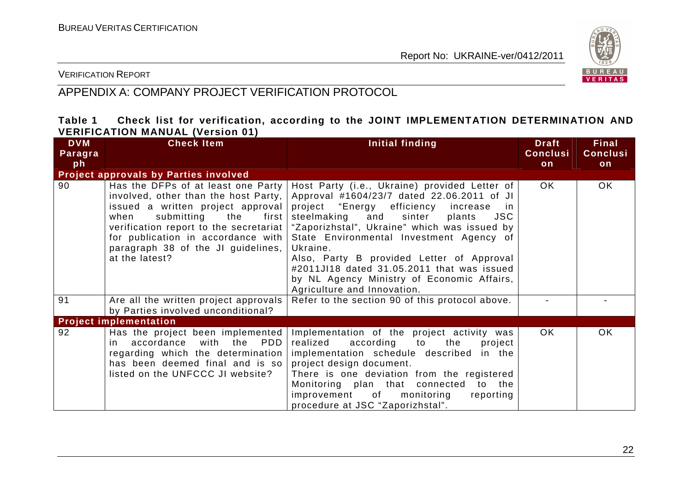

VERIFICATION REPORT

## APPENDIX A: COMPANY PROJECT VERIFICATION PROTOCOL

#### **Table 1 Check list for verification, according to the JOINT IMPLEMENTATION DETERMINATION AND VERIFICATION MANUAL (Version 01)**

| <b>DVM</b><br>Paragra | <b>Check Item</b>                                                                                                                                                                                                                                   | Initial finding                                                                                                                                                                                                                                                                                                                                                                                                                                                                                                               | <b>Draft</b><br><b>Conclusi</b> | <b>Final</b><br><b>Conclusi</b> |
|-----------------------|-----------------------------------------------------------------------------------------------------------------------------------------------------------------------------------------------------------------------------------------------------|-------------------------------------------------------------------------------------------------------------------------------------------------------------------------------------------------------------------------------------------------------------------------------------------------------------------------------------------------------------------------------------------------------------------------------------------------------------------------------------------------------------------------------|---------------------------------|---------------------------------|
| ph                    | Project approvals by Parties involved                                                                                                                                                                                                               |                                                                                                                                                                                                                                                                                                                                                                                                                                                                                                                               | on                              | on                              |
| 90                    | Has the DFPs of at least one Party<br>involved, other than the host Party,<br>issued a written project approval<br>submitting<br>when<br>the<br>first<br>for publication in accordance with<br>paragraph 38 of the JI guidelines,<br>at the latest? | Host Party (i.e., Ukraine) provided Letter of<br>Approval #1604/23/7 dated 22.06.2011 of JI<br>project "Energy efficiency<br>increase<br>in.<br><b>JSC</b><br>steelmaking<br>and<br>sinter<br>plants<br>verification report to the secretariat   "Zaporizhstal", Ukraine" which was issued by<br>State Environmental Investment Agency of<br>Ukraine.<br>Also, Party B provided Letter of Approval<br>#2011JI18 dated 31.05.2011 that was issued<br>by NL Agency Ministry of Economic Affairs,<br>Agriculture and Innovation. | OK.                             | OK.                             |
| 91                    | Are all the written project approvals<br>by Parties involved unconditional?                                                                                                                                                                         | Refer to the section 90 of this protocol above.                                                                                                                                                                                                                                                                                                                                                                                                                                                                               |                                 |                                 |
|                       | <b>Project implementation</b>                                                                                                                                                                                                                       |                                                                                                                                                                                                                                                                                                                                                                                                                                                                                                                               |                                 |                                 |
| 92                    | Has the project been implemented<br>with the<br><b>PDD</b><br>in accordance<br>regarding which the determination<br>has been deemed final and is so<br>listed on the UNFCCC JI website?                                                             | Implementation of the project activity was<br>realized<br>according<br>to<br>the<br>project<br>implementation schedule described in the<br>project design document.<br>There is one deviation from the registered<br>Monitoring plan that connected to the<br>improvement<br>monitoring<br>of<br>reporting<br>procedure at JSC "Zaporizhstal".                                                                                                                                                                                | OK.                             | OK.                             |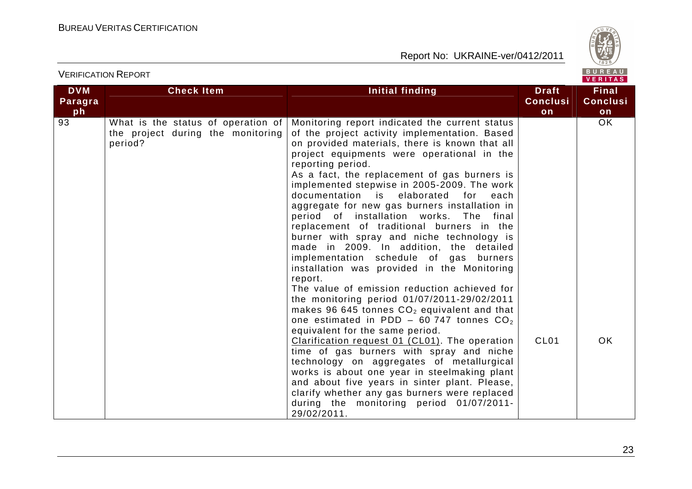

| <b>DVM</b><br>Paragra<br>ph | <b>Check Item</b>                                                                  | <b>Initial finding</b>                                                                                                                                                                                                                                                                                                                                                                                                                                                                                                                                                                                                                                                                                                                                                                                                                                                                                                                                                                                                                                                                                                                                                                                                                                                                       | <b>Draft</b><br><b>Conclusi</b><br>on | <b>Final</b><br><b>Conclusi</b><br>on |
|-----------------------------|------------------------------------------------------------------------------------|----------------------------------------------------------------------------------------------------------------------------------------------------------------------------------------------------------------------------------------------------------------------------------------------------------------------------------------------------------------------------------------------------------------------------------------------------------------------------------------------------------------------------------------------------------------------------------------------------------------------------------------------------------------------------------------------------------------------------------------------------------------------------------------------------------------------------------------------------------------------------------------------------------------------------------------------------------------------------------------------------------------------------------------------------------------------------------------------------------------------------------------------------------------------------------------------------------------------------------------------------------------------------------------------|---------------------------------------|---------------------------------------|
| $\overline{93}$             | What is the status of operation of<br>the project during the monitoring<br>period? | Monitoring report indicated the current status<br>of the project activity implementation. Based<br>on provided materials, there is known that all<br>project equipments were operational in the<br>reporting period.<br>As a fact, the replacement of gas burners is<br>implemented stepwise in 2005-2009. The work<br>documentation is elaborated for<br>each<br>aggregate for new gas burners installation in<br>period of installation works. The final<br>replacement of traditional burners in the<br>burner with spray and niche technology is<br>made in 2009. In addition, the detailed<br>implementation schedule of gas burners<br>installation was provided in the Monitoring<br>report.<br>The value of emission reduction achieved for<br>the monitoring period 01/07/2011-29/02/2011<br>makes 96 645 tonnes $CO2$ equivalent and that<br>one estimated in PDD - 60 747 tonnes $CO2$<br>equivalent for the same period.<br>Clarification request 01 (CL01). The operation<br>time of gas burners with spray and niche<br>technology on aggregates of metallurgical<br>works is about one year in steelmaking plant<br>and about five years in sinter plant. Please,<br>clarify whether any gas burners were replaced<br>during the monitoring period 01/07/2011-<br>29/02/2011. | CL <sub>01</sub>                      | OK<br><b>OK</b>                       |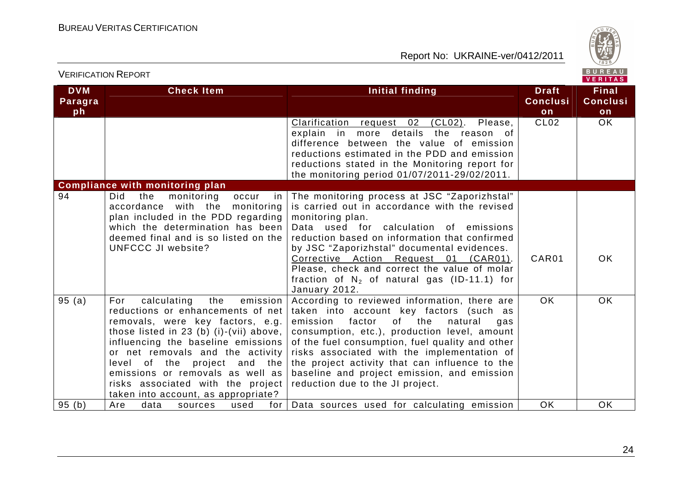

| VERIFICATION NEPORT         |                                                                                                                                                                                                                                                                                                                                                                                     |                                                                                                                                                                                                                                                                                                                                                                                                                                  |                                       | VERITAS                               |
|-----------------------------|-------------------------------------------------------------------------------------------------------------------------------------------------------------------------------------------------------------------------------------------------------------------------------------------------------------------------------------------------------------------------------------|----------------------------------------------------------------------------------------------------------------------------------------------------------------------------------------------------------------------------------------------------------------------------------------------------------------------------------------------------------------------------------------------------------------------------------|---------------------------------------|---------------------------------------|
| <b>DVM</b><br>Paragra<br>ph | <b>Check Item</b>                                                                                                                                                                                                                                                                                                                                                                   | <b>Initial finding</b>                                                                                                                                                                                                                                                                                                                                                                                                           | <b>Draft</b><br><b>Conclusi</b><br>on | <b>Final</b><br><b>Conclusi</b><br>on |
|                             |                                                                                                                                                                                                                                                                                                                                                                                     | Clarification request 02<br>$(CL02)$ .<br>Please,<br>explain in more details the reason of<br>difference between the value of emission<br>reductions estimated in the PDD and emission<br>reductions stated in the Monitoring report for<br>the monitoring period 01/07/2011-29/02/2011.                                                                                                                                         | CL <sub>02</sub>                      | <b>OK</b>                             |
|                             | <b>Compliance with monitoring plan</b>                                                                                                                                                                                                                                                                                                                                              |                                                                                                                                                                                                                                                                                                                                                                                                                                  |                                       |                                       |
| 94                          | Did<br>monitoring<br>the<br>occur<br>in<br>accordance with the monitoring<br>plan included in the PDD regarding<br>which the determination has been<br>deemed final and is so listed on the<br>UNFCCC JI website?                                                                                                                                                                   | The monitoring process at JSC "Zaporizhstal"<br>is carried out in accordance with the revised<br>monitoring plan.<br>Data used for calculation of emissions<br>reduction based on information that confirmed<br>by JSC "Zaporizhstal" documental evidences.<br>Corrective Action Request 01 (CAR01).<br>Please, check and correct the value of molar<br>fraction of $N_2$ of natural gas (ID-11.1) for<br>January 2012.          | CAR01                                 | OK                                    |
| 95(a)                       | emission<br>For<br>calculating<br>the<br>reductions or enhancements of net<br>removals, were key factors, e.g.<br>those listed in 23 (b) (i)-(vii) above,<br>influencing the baseline emissions<br>or net removals and the activity<br>level of the project and the<br>emissions or removals as well as<br>risks associated with the project<br>taken into account, as appropriate? | According to reviewed information, there are<br>taken into account key factors (such as<br>factor<br>of the<br>emission<br>natural<br>gas<br>consumption, etc.), production level, amount<br>of the fuel consumption, fuel quality and other<br>risks associated with the implementation of<br>the project activity that can influence to the<br>baseline and project emission, and emission<br>reduction due to the JI project. | <b>OK</b>                             | OK                                    |
| 95(b)                       | Are<br>data<br>used<br>sources<br>for I                                                                                                                                                                                                                                                                                                                                             | Data sources used for calculating emission                                                                                                                                                                                                                                                                                                                                                                                       | <b>OK</b>                             | <b>OK</b>                             |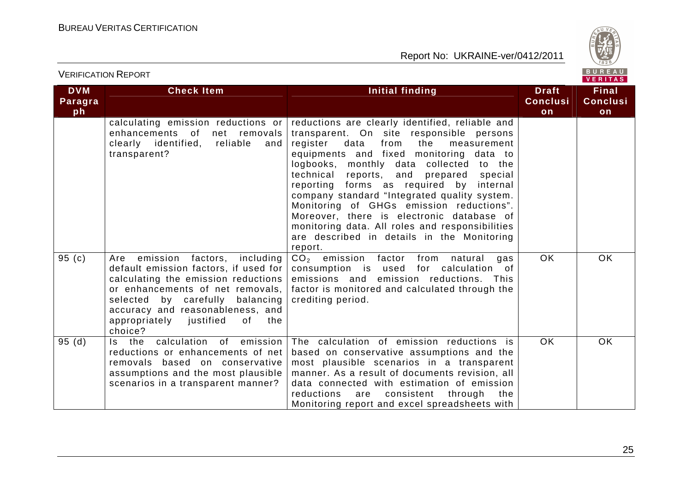

| <b>DVM</b><br>Paragra<br>ph | <b>Check Item</b>                                                                                                                                                                                                                                                             | Initial finding                                                                                                                                                                                                                                                                                                                                                                                                                                                                                                                                                                | <b>Draft</b><br><b>Conclusi</b><br>on | <b>Final</b><br><b>Conclusi</b><br>on |
|-----------------------------|-------------------------------------------------------------------------------------------------------------------------------------------------------------------------------------------------------------------------------------------------------------------------------|--------------------------------------------------------------------------------------------------------------------------------------------------------------------------------------------------------------------------------------------------------------------------------------------------------------------------------------------------------------------------------------------------------------------------------------------------------------------------------------------------------------------------------------------------------------------------------|---------------------------------------|---------------------------------------|
|                             | calculating emission reductions or<br>enhancements of net removals<br>clearly identified, reliable and<br>transparent?                                                                                                                                                        | reductions are clearly identified, reliable and<br>transparent. On site responsible persons<br>register data<br>from<br>the<br>measurement<br>equipments and fixed monitoring data to<br>logbooks,<br>monthly data collected to the<br>technical reports, and prepared special<br>reporting forms as required by internal<br>company standard "Integrated quality system.<br>Monitoring of GHGs emission reductions".<br>Moreover, there is electronic database of<br>monitoring data. All roles and responsibilities<br>are described in details in the Monitoring<br>report. |                                       |                                       |
| 95 $(c)$                    | Are emission factors, including<br>default emission factors, if used for<br>calculating the emission reductions<br>or enhancements of net removals,<br>selected by carefully balancing<br>accuracy and reasonableness, and<br>appropriately justified<br>of<br>the<br>choice? | CO <sub>2</sub> emission factor from natural<br>gas<br>consumption is used for calculation of<br>emissions and emission reductions.<br>This<br>factor is monitored and calculated through the<br>crediting period.                                                                                                                                                                                                                                                                                                                                                             | <b>OK</b>                             | <b>OK</b>                             |
| 95(d)                       | Is the calculation of emission<br>reductions or enhancements of net<br>removals based on conservative<br>assumptions and the most plausible<br>scenarios in a transparent manner?                                                                                             | The calculation of emission reductions is<br>based on conservative assumptions and the<br>most plausible scenarios in a transparent<br>manner. As a result of documents revision, all<br>data connected with estimation of emission<br>reductions<br>are consistent through the<br>Monitoring report and excel spreadsheets with                                                                                                                                                                                                                                               | <b>OK</b>                             | <b>OK</b>                             |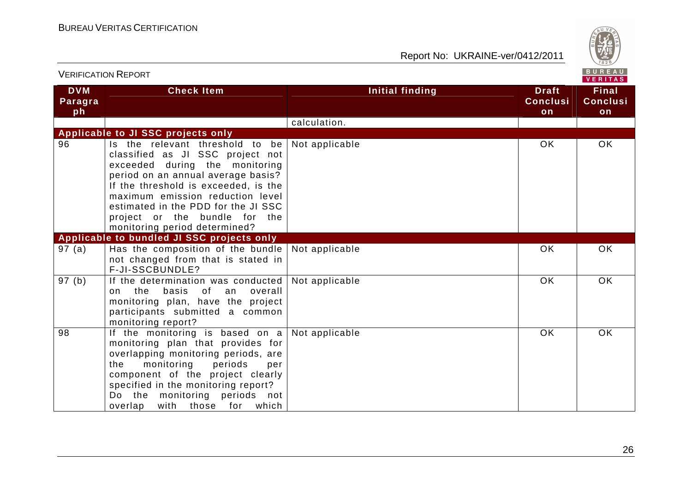

|                             | ו יוט ושיו ויטה ושה וויום ו                                                                                                                                                                                                                                                                                                      |                        |                                       | VERITAS                               |
|-----------------------------|----------------------------------------------------------------------------------------------------------------------------------------------------------------------------------------------------------------------------------------------------------------------------------------------------------------------------------|------------------------|---------------------------------------|---------------------------------------|
| <b>DVM</b><br>Paragra<br>ph | <b>Check Item</b>                                                                                                                                                                                                                                                                                                                | <b>Initial finding</b> | <b>Draft</b><br><b>Conclusi</b><br>on | <b>Final</b><br><b>Conclusi</b><br>on |
|                             |                                                                                                                                                                                                                                                                                                                                  | calculation.           |                                       |                                       |
|                             | Applicable to JI SSC projects only                                                                                                                                                                                                                                                                                               |                        |                                       |                                       |
| 96                          | Is the relevant threshold to be<br>classified as JI SSC project not<br>exceeded during the monitoring<br>period on an annual average basis?<br>If the threshold is exceeded, is the<br>maximum emission reduction level<br>estimated in the PDD for the JI SSC<br>project or the bundle for the<br>monitoring period determined? | Not applicable         | <b>OK</b>                             | OK.                                   |
|                             | Applicable to bundled JI SSC projects only                                                                                                                                                                                                                                                                                       |                        |                                       |                                       |
| 97(a)                       | Has the composition of the bundle<br>not changed from that is stated in<br>F-JI-SSCBUNDLE?                                                                                                                                                                                                                                       | Not applicable         | <b>OK</b>                             | <b>OK</b>                             |
| 97 (b)                      | If the determination was conducted<br>basis<br>of<br>on the<br>overall<br>an<br>monitoring plan, have the project<br>participants submitted a common<br>monitoring report?                                                                                                                                                       | Not applicable         | OK                                    | <b>OK</b>                             |
| 98                          | If the monitoring is based on $a$<br>monitoring plan that provides for<br>overlapping monitoring periods, are<br>monitoring<br>periods<br>the<br>per<br>component of the project clearly<br>specified in the monitoring report?<br>Do the monitoring periods not<br>overlap<br>with those for which                              | Not applicable         | OK                                    | OK                                    |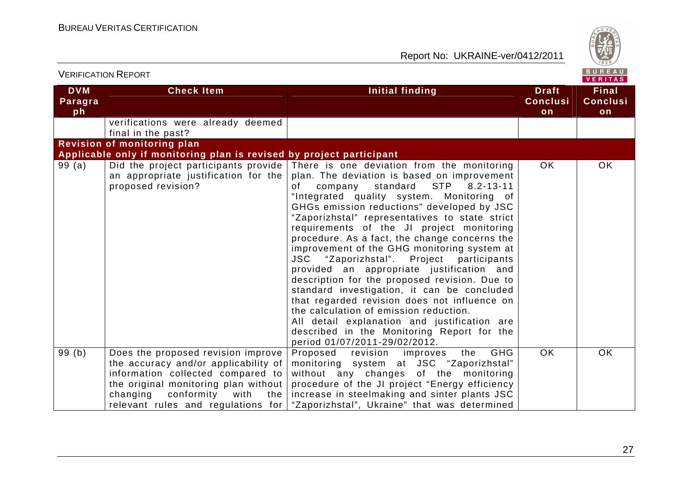

|                             |                                                                                                                                                                                                    |                                                                                                                                                                                                                                                                                                                                                                                                                                                                                                                                                                                                                                                                                                                                                                                                                                                                                         |                                       | <b>VERITAS</b>                 |
|-----------------------------|----------------------------------------------------------------------------------------------------------------------------------------------------------------------------------------------------|-----------------------------------------------------------------------------------------------------------------------------------------------------------------------------------------------------------------------------------------------------------------------------------------------------------------------------------------------------------------------------------------------------------------------------------------------------------------------------------------------------------------------------------------------------------------------------------------------------------------------------------------------------------------------------------------------------------------------------------------------------------------------------------------------------------------------------------------------------------------------------------------|---------------------------------------|--------------------------------|
| <b>DVM</b><br>Paragra<br>ph | <b>Check Item</b>                                                                                                                                                                                  | Initial finding                                                                                                                                                                                                                                                                                                                                                                                                                                                                                                                                                                                                                                                                                                                                                                                                                                                                         | <b>Draft</b><br><b>Conclusi</b><br>on | <b>Final</b><br>Conclusi<br>on |
|                             | verifications were already deemed<br>final in the past?                                                                                                                                            |                                                                                                                                                                                                                                                                                                                                                                                                                                                                                                                                                                                                                                                                                                                                                                                                                                                                                         |                                       |                                |
|                             | <b>Revision of monitoring plan</b>                                                                                                                                                                 |                                                                                                                                                                                                                                                                                                                                                                                                                                                                                                                                                                                                                                                                                                                                                                                                                                                                                         |                                       |                                |
|                             | Applicable only if monitoring plan is revised by project participant                                                                                                                               |                                                                                                                                                                                                                                                                                                                                                                                                                                                                                                                                                                                                                                                                                                                                                                                                                                                                                         |                                       |                                |
| 99 (a)                      | an appropriate justification for the<br>proposed revision?                                                                                                                                         | Did the project participants provide There is one deviation from the monitoring<br>plan. The deviation is based on improvement<br>standard $STP$ 8.2-13-11<br>company<br>of<br>"Integrated quality system. Monitoring of<br>GHGs emission reductions" developed by JSC<br>"Zaporizhstal" representatives to state strict<br>requirements of the JI project monitoring<br>procedure. As a fact, the change concerns the<br>improvement of the GHG monitoring system at<br>JSC "Zaporizhstal". Project participants<br>provided an appropriate justification and<br>description for the proposed revision. Due to<br>standard investigation, it can be concluded<br>that regarded revision does not influence on<br>the calculation of emission reduction.<br>All detail explanation and justification are<br>described in the Monitoring Report for the<br>period 01/07/2011-29/02/2012. | OK                                    | <b>OK</b>                      |
| $\overline{99}$ (b)         | Does the proposed revision improve<br>the accuracy and/or applicability of<br>information collected compared to<br>the original monitoring plan without<br>conformity<br>changing<br>with<br>the I | <b>GHG</b><br>Proposed revision improves<br>the<br>monitoring system at JSC "Zaporizhstal"<br>without any changes of the monitoring<br>procedure of the JI project "Energy efficiency<br>increase in steelmaking and sinter plants JSC<br>relevant rules and regulations for "Zaporizhstal", Ukraine" that was determined                                                                                                                                                                                                                                                                                                                                                                                                                                                                                                                                                               | <b>OK</b>                             | <b>OK</b>                      |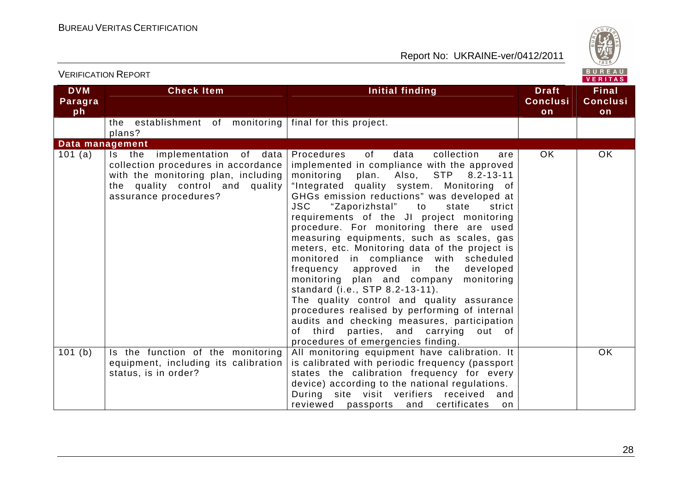

| <b>VERIFICATION REPORT</b>  |                                                                                                                                                                         |                                                                                                                                                                                                                                                                                                                                                                                                                                                                                                                                                                                                                                                                                                                                                                                                                                                                                     | BUREAU<br><b>VERITAS</b>              |                                       |
|-----------------------------|-------------------------------------------------------------------------------------------------------------------------------------------------------------------------|-------------------------------------------------------------------------------------------------------------------------------------------------------------------------------------------------------------------------------------------------------------------------------------------------------------------------------------------------------------------------------------------------------------------------------------------------------------------------------------------------------------------------------------------------------------------------------------------------------------------------------------------------------------------------------------------------------------------------------------------------------------------------------------------------------------------------------------------------------------------------------------|---------------------------------------|---------------------------------------|
| <b>DVM</b><br>Paragra<br>ph | <b>Check Item</b>                                                                                                                                                       | Initial finding                                                                                                                                                                                                                                                                                                                                                                                                                                                                                                                                                                                                                                                                                                                                                                                                                                                                     | <b>Draft</b><br><b>Conclusi</b><br>on | <b>Final</b><br><b>Conclusi</b><br>on |
|                             | the establishment of monitoring<br>plans?                                                                                                                               | final for this project.                                                                                                                                                                                                                                                                                                                                                                                                                                                                                                                                                                                                                                                                                                                                                                                                                                                             |                                       |                                       |
| Data management             |                                                                                                                                                                         |                                                                                                                                                                                                                                                                                                                                                                                                                                                                                                                                                                                                                                                                                                                                                                                                                                                                                     |                                       |                                       |
| 101 (a)                     | Is the implementation of data<br>collection procedures in accordance<br>with the monitoring plan, including<br>the quality control and quality<br>assurance procedures? | of<br>collection<br>Procedures<br>data<br>are<br>implemented in compliance with the approved<br>monitoring plan. Also, STP 8.2-13-11<br>"Integrated quality system. Monitoring of<br>GHGs emission reductions" was developed at<br>"Zaporizhstal" to<br><b>JSC</b><br>state<br>strict<br>requirements of the JI project monitoring<br>procedure. For monitoring there are used<br>measuring equipments, such as scales, gas<br>meters, etc. Monitoring data of the project is<br>monitored in compliance with scheduled<br>approved in<br>frequency<br>the<br>developed<br>monitoring plan and company<br>monitoring<br>standard (i.e., STP 8.2-13-11).<br>The quality control and quality assurance<br>procedures realised by performing of internal<br>audits and checking measures, participation<br>of third parties, and carrying out of<br>procedures of emergencies finding. | OK.                                   | <b>OK</b>                             |
| 101(b)                      | Is the function of the monitoring<br>equipment, including its calibration<br>status, is in order?                                                                       | All monitoring equipment have calibration. It<br>is calibrated with periodic frequency (passport<br>states the calibration frequency for every<br>device) according to the national regulations.                                                                                                                                                                                                                                                                                                                                                                                                                                                                                                                                                                                                                                                                                    |                                       | <b>OK</b>                             |
|                             |                                                                                                                                                                         | During site visit verifiers received<br>and<br>reviewed<br>passports and<br>certificates<br>on                                                                                                                                                                                                                                                                                                                                                                                                                                                                                                                                                                                                                                                                                                                                                                                      |                                       |                                       |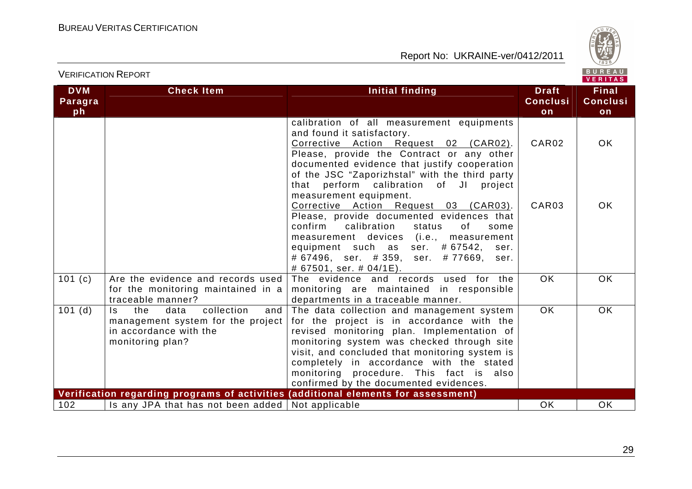

| <b>DVM</b><br>Paragra | <b>Check Item</b>                                                                                                                    | Initial finding                                                                                                                                                                                                                                                                                                                                                       | <b>Draft</b><br><b>Conclusi</b> | <b>Final</b><br><b>Conclusi</b> |
|-----------------------|--------------------------------------------------------------------------------------------------------------------------------------|-----------------------------------------------------------------------------------------------------------------------------------------------------------------------------------------------------------------------------------------------------------------------------------------------------------------------------------------------------------------------|---------------------------------|---------------------------------|
| ph                    |                                                                                                                                      |                                                                                                                                                                                                                                                                                                                                                                       | on                              | on                              |
|                       |                                                                                                                                      | calibration of all measurement equipments<br>and found it satisfactory.<br>Corrective Action Request 02 (CAR02).<br>Please, provide the Contract or any other<br>documented evidence that justify cooperation                                                                                                                                                         | CAR02                           | OK.                             |
|                       |                                                                                                                                      | of the JSC "Zaporizhstal" with the third party<br>that perform calibration of JI project<br>measurement equipment.<br>Corrective Action Request 03 (CAR03).                                                                                                                                                                                                           | CAR03                           | <b>OK</b>                       |
|                       |                                                                                                                                      | Please, provide documented evidences that<br>confirm<br>calibration<br>status<br>0f<br>some<br>measurement devices (i.e., measurement<br>equipment such as ser. #67542, ser.<br># 67496, ser. # 359, ser. # 77669, ser.<br># 67501, ser. # 04/1E).                                                                                                                    |                                 |                                 |
| 101(c)                | Are the evidence and records used<br>for the monitoring maintained in a<br>traceable manner?                                         | The evidence and records used for the<br>monitoring are maintained in responsible<br>departments in a traceable manner.                                                                                                                                                                                                                                               | $\overline{OK}$                 | OK.                             |
| 101(d)                | collection<br>the<br>data<br>$\mathsf{ls}$<br>and<br>management system for the project<br>in accordance with the<br>monitoring plan? | The data collection and management system<br>for the project is in accordance with the<br>revised monitoring plan. Implementation of<br>monitoring system was checked through site<br>visit, and concluded that monitoring system is<br>completely in accordance with the stated<br>monitoring procedure. This fact is also<br>confirmed by the documented evidences. | <b>OK</b>                       | OK.                             |
|                       |                                                                                                                                      | Verification regarding programs of activities (additional elements for assessment)                                                                                                                                                                                                                                                                                    |                                 |                                 |
| 102                   | Is any JPA that has not been added                                                                                                   | Not applicable                                                                                                                                                                                                                                                                                                                                                        | OK                              | <b>OK</b>                       |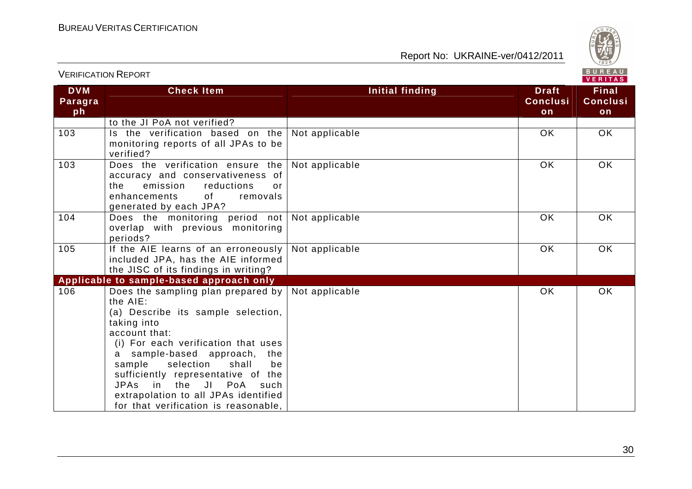

|                             | <b>VERIFICATION REPORT</b>                                                                                                                                                                                                                                                                                                                                                                      |                        |                                       | BUREAU<br>VERITAS                     |
|-----------------------------|-------------------------------------------------------------------------------------------------------------------------------------------------------------------------------------------------------------------------------------------------------------------------------------------------------------------------------------------------------------------------------------------------|------------------------|---------------------------------------|---------------------------------------|
| <b>DVM</b><br>Paragra<br>ph | <b>Check Item</b>                                                                                                                                                                                                                                                                                                                                                                               | <b>Initial finding</b> | <b>Draft</b><br><b>Conclusi</b><br>on | <b>Final</b><br><b>Conclusi</b><br>on |
|                             | to the JI PoA not verified?                                                                                                                                                                                                                                                                                                                                                                     |                        |                                       |                                       |
| 103                         | Is the verification based on the<br>monitoring reports of all JPAs to be<br>verified?                                                                                                                                                                                                                                                                                                           | Not applicable         | <b>OK</b>                             | <b>OK</b>                             |
| 103                         | Does the verification ensure the<br>accuracy and conservativeness of<br>the<br>emission<br>reductions<br>0r<br><b>of</b><br>enhancements<br>removals<br>generated by each JPA?                                                                                                                                                                                                                  | Not applicable         | <b>OK</b>                             | <b>OK</b>                             |
| 104                         | Does the monitoring period not<br>overlap with previous monitoring<br>periods?                                                                                                                                                                                                                                                                                                                  | Not applicable         | <b>OK</b>                             | <b>OK</b>                             |
| 105                         | If the AIE learns of an erroneously<br>included JPA, has the AIE informed<br>the JISC of its findings in writing?                                                                                                                                                                                                                                                                               | Not applicable         | <b>OK</b>                             | <b>OK</b>                             |
|                             | Applicable to sample-based approach only                                                                                                                                                                                                                                                                                                                                                        |                        |                                       |                                       |
| 106                         | Does the sampling plan prepared by<br>the AIE:<br>(a) Describe its sample selection,<br>taking into<br>account that:<br>(i) For each verification that uses<br>a sample-based approach, the<br>selection<br>shall<br>sample<br>be<br>sufficiently representative of the<br><b>JPAs</b><br>in the JI PoA<br>such<br>extrapolation to all JPAs identified<br>for that verification is reasonable, | Not applicable         | <b>OK</b>                             | <b>OK</b>                             |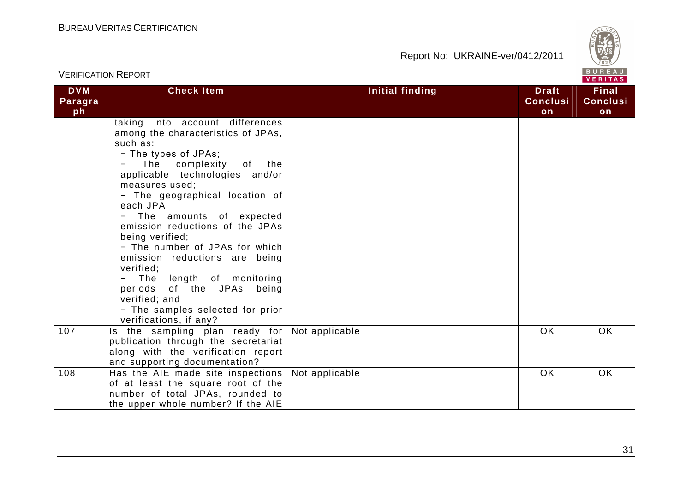

| VERITAS                     |                                                                                                                                                                                                                                                                                                                                                                                                                                                                                                                                                       |                 |                                       |                                       |  |  |  |
|-----------------------------|-------------------------------------------------------------------------------------------------------------------------------------------------------------------------------------------------------------------------------------------------------------------------------------------------------------------------------------------------------------------------------------------------------------------------------------------------------------------------------------------------------------------------------------------------------|-----------------|---------------------------------------|---------------------------------------|--|--|--|
| <b>DVM</b><br>Paragra<br>ph | <b>Check Item</b>                                                                                                                                                                                                                                                                                                                                                                                                                                                                                                                                     | Initial finding | <b>Draft</b><br><b>Conclusi</b><br>on | <b>Final</b><br><b>Conclusi</b><br>on |  |  |  |
|                             | taking into account differences<br>among the characteristics of JPAs,<br>such as:<br>- The types of JPAs;<br>The complexity of the<br>applicable technologies and/or<br>measures used;<br>- The geographical location of<br>each JPA;<br>- The amounts of expected<br>emission reductions of the JPAs<br>being verified;<br>- The number of JPAs for which<br>emission reductions are being<br>verified;<br>- The length of monitoring<br>periods of the JPAs<br>being<br>verified; and<br>- The samples selected for prior<br>verifications, if any? |                 |                                       |                                       |  |  |  |
| 107                         | Is the sampling plan ready for<br>publication through the secretariat<br>along with the verification report<br>and supporting documentation?                                                                                                                                                                                                                                                                                                                                                                                                          | Not applicable  | <b>OK</b>                             | OK                                    |  |  |  |
| 108                         | Has the AIE made site inspections  <br>of at least the square root of the<br>number of total JPAs, rounded to<br>the upper whole number? If the AIE                                                                                                                                                                                                                                                                                                                                                                                                   | Not applicable  | <b>OK</b>                             | OK                                    |  |  |  |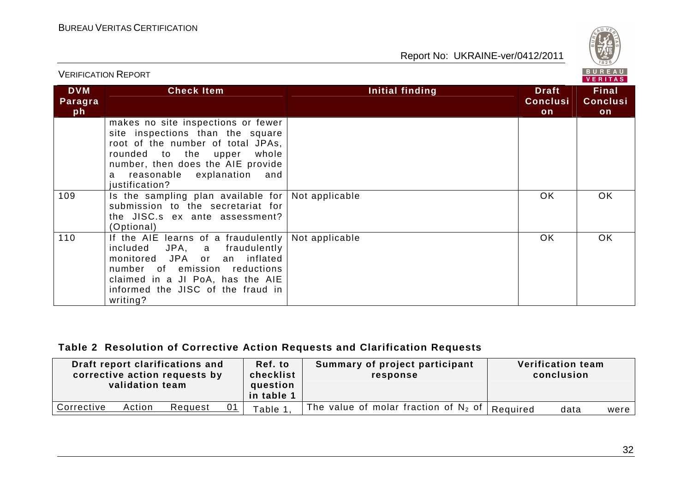

| BUREAU<br><b>VERIFICATION REPORT</b><br>VERITAS |                                                                                                                                                                                                                                           |                 |                                       |                                       |  |
|-------------------------------------------------|-------------------------------------------------------------------------------------------------------------------------------------------------------------------------------------------------------------------------------------------|-----------------|---------------------------------------|---------------------------------------|--|
| <b>DVM</b><br>Paragra<br>ph                     | <b>Check Item</b>                                                                                                                                                                                                                         | Initial finding | <b>Draft</b><br><b>Conclusi</b><br>on | <b>Final</b><br><b>Conclusi</b><br>on |  |
|                                                 | makes no site inspections or fewer<br>site inspections than the square<br>root of the number of total JPAs,<br>whole<br>rounded to the upper<br>number, then does the AIE provide<br>explanation and<br>reasonable<br>a<br>justification? |                 |                                       |                                       |  |
| 109                                             | Is the sampling plan available for<br>submission to the secretariat for<br>the JISC.s ex ante assessment?<br>(Optional)                                                                                                                   | Not applicable  | OK.                                   | OK.                                   |  |
| 110                                             | If the AIE learns of a fraudulently<br>JPA, a<br>fraudulently<br>included<br>monitored JPA or<br>an inflated<br>number of emission reductions<br>claimed in a JI PoA, has the AIE<br>informed the JISC of the fraud in<br>writing?        | Not applicable  | <b>OK</b>                             | OK.                                   |  |

#### **Table 2 Resolution of Corrective Action Requests and Clarification Requests**

| Draft report clarifications and<br>corrective action requests by<br>validation team |        |         | Ref. to<br>checklist<br>question<br>in table 1 | Summary of project participant<br>response |          | <b>Verification team</b><br>conclusion |        |
|-------------------------------------------------------------------------------------|--------|---------|------------------------------------------------|--------------------------------------------|----------|----------------------------------------|--------|
| Corrective                                                                          | Action | Request | Table 1.                                       | The value of molar fraction of $N_2$ of    | Required | data                                   | were l |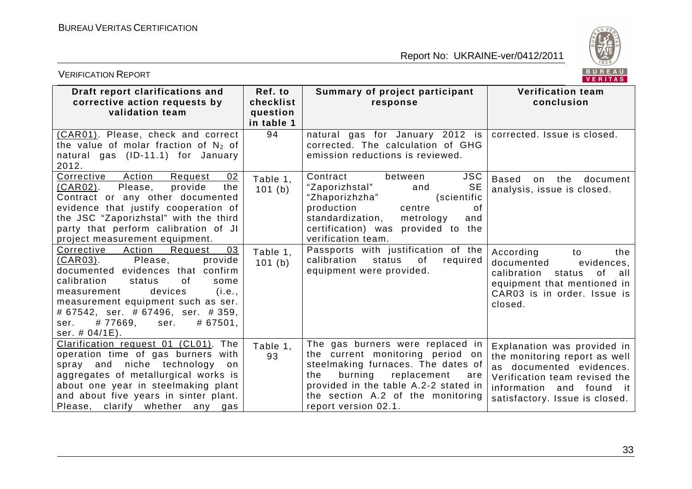

| BUREAU<br><b>VERIFICATION REPORT</b><br>VERITAS                                                                                                                                                                                                                                                                                      |                                                |                                                                                                                                                                                                                                                          |                                                                                                                                                                                         |  |  |  |
|--------------------------------------------------------------------------------------------------------------------------------------------------------------------------------------------------------------------------------------------------------------------------------------------------------------------------------------|------------------------------------------------|----------------------------------------------------------------------------------------------------------------------------------------------------------------------------------------------------------------------------------------------------------|-----------------------------------------------------------------------------------------------------------------------------------------------------------------------------------------|--|--|--|
| Draft report clarifications and<br>corrective action requests by<br>validation team                                                                                                                                                                                                                                                  | Ref. to<br>checklist<br>question<br>in table 1 | Summary of project participant<br>response                                                                                                                                                                                                               | <b>Verification team</b><br>conclusion                                                                                                                                                  |  |  |  |
| (CAR01). Please, check and correct<br>the value of molar fraction of $N_2$ of<br>natural gas (ID-11.1) for January<br>2012.                                                                                                                                                                                                          | 94                                             | natural gas for January 2012 is<br>corrected. The calculation of GHG<br>emission reductions is reviewed.                                                                                                                                                 | corrected. Issue is closed.                                                                                                                                                             |  |  |  |
| Corrective<br>Action<br>02<br>Request<br>(CAR02).<br>Please,<br>provide<br>the<br>Contract or any other documented<br>evidence that justify cooperation of<br>the JSC "Zaporizhstal" with the third<br>party that perform calibration of JI<br>project measurement equipment.                                                        | Table 1.<br>101(b)                             | <b>JSC</b><br>Contract<br>between<br><b>SE</b><br>"Zaporizhstal"<br>and<br>"Zhaporizhzha"<br>(scientific<br>production<br>centre<br>0f<br>standardization,<br>metrology<br>and<br>certification) was provided to the<br>verification team.               | <b>Based</b><br>the<br>document<br>on<br>analysis, issue is closed.                                                                                                                     |  |  |  |
| 03<br>Action<br>Corrective<br>Request<br><u>(CAR03)</u> .<br>Please,<br>provide<br>documented evidences that confirm<br>calibration<br>of<br>status<br>some<br>devices<br>(i.e.,<br>measurement<br>measurement equipment such as ser.<br># 67542, ser. # 67496, ser. # 359,<br>#77669,<br># 67501,<br>ser.<br>ser.<br>ser. # 04/1E). | Table 1,<br>101(b)                             | Passports with justification of the<br>calibration<br>status<br>of<br>required<br>equipment were provided.                                                                                                                                               | According<br>to<br>the<br>documented<br>evidences,<br>0f<br>calibration<br>status<br>all<br>equipment that mentioned in<br>CAR03 is in order. Issue is<br>closed.                       |  |  |  |
| Clarification request 01 (CL01). The<br>operation time of gas burners with<br>spray and niche technology<br>on<br>aggregates of metallurgical works is<br>about one year in steelmaking plant<br>and about five years in sinter plant.<br>Please, clarify whether any gas                                                            | Table 1,<br>93                                 | The gas burners were replaced in<br>the current monitoring period on<br>steelmaking furnaces. The dates of<br>burning<br>the<br>replacement<br>are<br>provided in the table A.2-2 stated in<br>the section A.2 of the monitoring<br>report version 02.1. | Explanation was provided in<br>the monitoring report as well<br>as documented evidences.<br>Verification team revised the<br>information and found it<br>satisfactory. Issue is closed. |  |  |  |